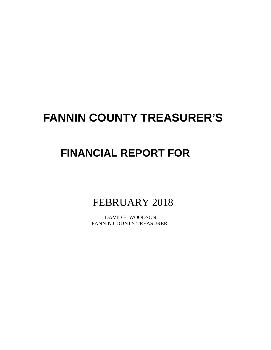# **FANNIN COUNTY TREASURER'S**

# **FINANCIAL REPORT FOR**

FEBRUARY 2018

 DAVID E. WOODSON FANNIN COUNTY TREASURER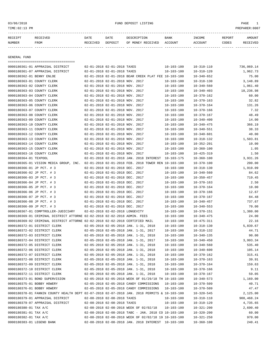03/06/2018 FUND DEPOSIT LISTING PAGE 1

| RECEIPT | <b>RECEIVED</b> | DATE            | DATE    | DESCRIPTION       | <b>BANK</b> | <b>INCOME</b> | REPORT | AMOUNT          |
|---------|-----------------|-----------------|---------|-------------------|-------------|---------------|--------|-----------------|
| NUMBER  | FROM            | <b>RECEIVED</b> | DEPOSIT | OF MONEY RECEIVED | ACCOUNT     | ACCOUNT       | CODES  | <b>RECEIVED</b> |
|         |                 |                 |         |                   |             |               |        |                 |

GENERAL FUND

| ====================================                                                         |                                 |                                                      |                  |                  |            |
|----------------------------------------------------------------------------------------------|---------------------------------|------------------------------------------------------|------------------|------------------|------------|
| 0000180361-01 APPRAISAL DISTRICT                                                             | 02-01-2018 02-01-2018 TAXES     |                                                      | $10 - 103 - 100$ | $10 - 310 - 110$ | 736,069.14 |
| 0000180361-07 APPRAISAL DISTRICT                                                             | 02-01-2018 02-01-2018 TAXES     |                                                      | $10 - 103 - 100$ | $10 - 310 - 120$ | 1,962.73   |
| 0000180362-01 BENNY ENLOE                                                                    |                                 | 02-01-2018 02-01-2018 BEAR CREEK PLAT FEE 10-103-100 |                  | $10 - 340 - 652$ | 75.00      |
| 0000180363-01 COUNTY CLERK                                                                   | 02-01-2018 02-01-2018 NOV. 2017 |                                                      | $10 - 103 - 100$ | $10 - 318 - 130$ | 3,148.89   |
| 0000180363-02 COUNTY CLERK                                                                   | 02-01-2018 02-01-2018 NOV. 2017 |                                                      | $10 - 103 - 100$ | $10 - 340 - 560$ | 1,061.40   |
| 0000180363-03 COUNTY CLERK                                                                   | 02-01-2018 02-01-2018 NOV. 2017 |                                                      | $10 - 103 - 100$ | $10 - 340 - 403$ | 18,236.98  |
| 0000180363-04 COUNTY CLERK                                                                   | 02-01-2018 02-01-2018 NOV. 2017 |                                                      | $10 - 103 - 100$ | $10 - 370 - 162$ | 60.00      |
| 0000180363-05 COUNTY CLERK                                                                   | 02-01-2018 02-01-2018 NOV. 2017 |                                                      | $10 - 103 - 100$ | $10 - 370 - 163$ | 32.82      |
| 0000180363-06 COUNTY CLERK                                                                   | 02-01-2018 02-01-2018 NOV. 2017 |                                                      | $10 - 103 - 100$ | $10 - 370 - 164$ | 131.26     |
| 0000180363-07 COUNTY CLERK                                                                   | 02-01-2018 02-01-2018 NOV. 2017 |                                                      | $10 - 103 - 100$ | $10 - 370 - 166$ | 7.32       |
| 0000180363-08 COUNTY CLERK                                                                   | 02-01-2018 02-01-2018 NOV. 2017 |                                                      | $10 - 103 - 100$ | $10 - 370 - 167$ | 48.49      |
| 0000180363-09 COUNTY CLERK                                                                   | 02-01-2018 02-01-2018 NOV. 2017 |                                                      | $10 - 103 - 100$ | $10 - 340 - 400$ | 14.00      |
| 0000180363-10 COUNTY CLERK                                                                   | 02-01-2018 02-01-2018 NOV. 2017 |                                                      | $10 - 103 - 100$ | $10 - 340 - 475$ | 366.19     |
| 0000180363-11 COUNTY CLERK                                                                   | 02-01-2018 02-01-2018 NOV. 2017 |                                                      | $10 - 103 - 100$ | $10 - 340 - 551$ | 38.33      |
| 0000180363-12 COUNTY CLERK                                                                   | 02-01-2018 02-01-2018 NOV. 2017 |                                                      | $10 - 103 - 100$ | $10 - 340 - 601$ | 40.00      |
| 0000180363-13 COUNTY CLERK                                                                   | 02-01-2018 02-01-2018 NOV. 2017 |                                                      | $10 - 103 - 100$ | $10 - 318 - 132$ | 1,503.81   |
| 0000180363-14 COUNTY CLERK                                                                   | 02-01-2018 02-01-2018 NOV. 2017 |                                                      | $10 - 103 - 100$ | $10 - 352 - 201$ | 10.00      |
| 0000180363-15 COUNTY CLERK                                                                   | 02-01-2018 02-01-2018 NOV. 2017 |                                                      | $10 - 103 - 100$ | $10 - 360 - 100$ | 1.05       |
| 0000180363-16 COUNTY CLERK                                                                   | 02-01-2018 02-01-2018 NOV. 2017 |                                                      | $10 - 103 - 100$ | $10 - 425 - 319$ | 1.50       |
| 0000180364-01 TEXPOOL                                                                        |                                 | 02-01-2018 02-01-2018 JAN. 2018 INTEREST 10-103-175  |                  | $10 - 360 - 100$ | 3,931.26   |
| 0000180365-01 VISION MEDIA GROUP, INC.                                                       |                                 | 02-01-2018 02-01-2018 FEB. 2018 TOWER REN 10-103-100 |                  | $10 - 370 - 100$ | 200.00     |
| 0000180366-01 JP PCT. # 3                                                                    | 02-01-2018 02-01-2018 DEC. 2017 |                                                      | $10 - 103 - 100$ | $10 - 318 - 130$ | 1,910.09   |
| 0000180366-02 JP PCT. # 3                                                                    | 02-01-2018 02-01-2018 DEC. 2017 |                                                      | $10 - 103 - 100$ | $10 - 340 - 560$ | 84.62      |
| 0000180366-03 JP PCT. # 3                                                                    | 02-01-2018 02-01-2018 DEC. 2017 |                                                      | $10 - 103 - 100$ | $10 - 350 - 457$ | 719.45     |
| 0000180366-04 JP PCT. # 3                                                                    | 02-01-2018 02-01-2018 DEC. 2017 |                                                      | $10 - 103 - 100$ | $10 - 370 - 163$ | 2.50       |
| 0000180366-05 JP PCT. # 3                                                                    | 02-01-2018 02-01-2018 DEC. 2017 |                                                      | $10 - 103 - 100$ | $10 - 370 - 164$ | 10.00      |
| 0000180366-06 JP PCT. # 3                                                                    | 02-01-2018 02-01-2018 DEC. 2017 |                                                      | $10 - 103 - 100$ | $10 - 370 - 166$ | 12.67      |
| 0000180366-07 JP PCT. # 3                                                                    | 02-01-2018 02-01-2018 DEC. 2017 |                                                      | $10 - 103 - 100$ | $10 - 370 - 167$ | 84.48      |
| 0000180366-08 JP PCT. # 3                                                                    | 02-01-2018 02-01-2018 DEC. 2017 |                                                      | $10 - 103 - 100$ | $10 - 340 - 457$ | 737.67     |
| 0000180366-09 JP PCT. # 3                                                                    | 02-01-2018 02-01-2018 DEC. 2017 |                                                      | $10 - 103 - 100$ | $10 - 340 - 553$ | 70.00      |
| 0000180367-01 COMPTROLLER-JUDICIARY                                                          | 02-02-2018 02-02-2018 LONGEVITY |                                                      | $10 - 103 - 100$ | $10 - 370 - 151$ | 1,380.00   |
| 0000180369-01 CRIMINAL DISTRICT ATTORNE 02-02-2018 02-02-2018 ADMIN. FEES                    |                                 |                                                      | $10 - 103 - 100$ | $10 - 340 - 475$ | 24.00      |
| 0000180369-02 CRIMINAL DISTRICT ATTORNE 02-02-2018 02-02-2018 CERTIFIED MAIL                 |                                 |                                                      | $10 - 103 - 100$ | $10 - 475 - 311$ | 22.16      |
| 0000180372-01 DISTRICT CLERK                                                                 |                                 | 02-05-2018 02-05-2018 JAN. 1-31, 2018                | $10 - 103 - 100$ | $10 - 318 - 130$ | 5,839.67   |
| 0000180372-02 DISTRICT CLERK                                                                 |                                 | 02-05-2018 02-05-2018 JAN. 1-31, 2017                | $10 - 103 - 100$ | $10 - 318 - 132$ | 44.71      |
| 0000180372-03 DISTRICT CLERK                                                                 |                                 | 02-05-2018 02-05-2018 JAN. 1-31, 2018                | $10 - 103 - 100$ | $10 - 340 - 135$ | 90.00      |
| 0000180372-04 DISTRICT CLERK                                                                 |                                 | 02-05-2018 02-05-2018 JAN. 1-31, 2017                | $10 - 103 - 100$ | $10 - 340 - 450$ | 3,993.34   |
| 0000180372-05 DISTRICT CLERK                                                                 |                                 | 02-05-2018 02-05-2018 JAN. 1-31, 2018                | $10 - 103 - 100$ | $10 - 340 - 560$ | 535.40     |
| 0000180372-06 DISTRICT CLERK                                                                 |                                 | 02-05-2018 02-05-2018 JAN. 1-31, 2018                | $10 - 103 - 100$ | $10 - 340 - 600$ | 105.14     |
| 0000180372-07 DISTRICT CLERK                                                                 |                                 | 02-05-2018 02-05-2018 JAN. 1-31, 2018                | $10 - 103 - 100$ | $10 - 370 - 162$ | 315.41     |
| 0000180372-08 DISTRICT CLERK                                                                 |                                 | 02-05-2018 02-05-2018 JAN. 1-31, 2018                | $10 - 103 - 100$ | $10 - 370 - 163$ | 39.91      |
| 0000180372-09 DISTRICT CLERK                                                                 |                                 | 02-05-2018 02-05-2018 JAN. 1-31, 2018                | $10 - 103 - 100$ | $10 - 370 - 164$ | 159.63     |
| 0000180372-10 DISTRICT CLERK                                                                 |                                 | 02-05-2018 02-05-2018 JAN. 1-31, 2018                | 10-103-100       | $10 - 370 - 166$ | 9.11       |
| 0000180372-11 DISTRICT CLERK                                                                 |                                 | 02-05-2018 02-05-2018 JAN. 1-31, 2018                | $10 - 103 - 100$ | $10 - 370 - 167$ | 59.05      |
| 0000180373-01 BOND SUPERVISION                                                               |                                 | 02-05-2018 02-05-2018 WEEK OF 01/29/18 TH 10-103-100 |                  | $10 - 340 - 573$ | 1,169.00   |
| 0000180375-01 BOBBY HOWERY                                                                   |                                 | 02-05-2018 02-05-2018 CANDY COMMISSIONS              | 10-103-100       | $10 - 370 - 509$ | 40.71      |
| 0000180376-01 BOBBY HOWERY                                                                   |                                 | 02-05-2018 02-05-2018 CANDY COMMISSIONS              | $10 - 103 - 100$ | $10 - 370 - 509$ | 47.47      |
| 0000180378-01 FANNIN COUNTY HEALTH DEPT 02-07-2018 02-07-2018 JAN. 2018 PERMITS & 10-103-100 |                                 |                                                      |                  | $10 - 320 - 545$ | 2,125.00   |
| 0000180379-01 APPRAISAL DISTRICT                                                             | 02-08-2018 02-08-2018 TAXES     |                                                      | $10 - 103 - 100$ | $10 - 310 - 110$ | 908,468.24 |
| 0000180379-07 APPRAISAL DISTRICT                                                             | 02-08-2018 02-08-2018 TAXES     |                                                      | $10 - 103 - 100$ | $10 - 310 - 120$ | 4,735.65   |
| 0000180380-01 TAX A/C                                                                        |                                 | 02-08-2018 02-08-2018 WEEK OF 02/02/18               | 10-103-100       | $10 - 321 - 200$ | 2,690.40   |
| 0000180381-01 TAX A/C                                                                        |                                 | 02-08-2018 02-08-2018 TABC - JAN. 2018 CO 10-103-100 |                  | $10 - 320 - 200$ | 60.00      |
| 0000180382-01 TAX A/C                                                                        |                                 | 02-08-2018 02-08-2018 WEEK OF 02/02/18 19 10-103-100 |                  | $10 - 321 - 250$ | 970.00     |
| 0000180383-01 LEGEND BANK                                                                    |                                 | 02-08-2018 02-08-2018 JAN. 2018 INTEREST 10-103-100  |                  | $10 - 360 - 100$ | 240.41     |
|                                                                                              |                                 |                                                      |                  |                  |            |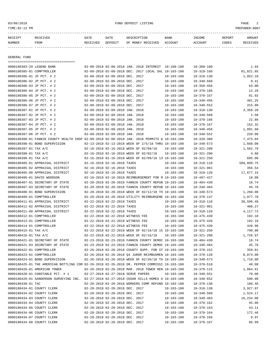#### 03/06/2018 FUND DEPOSIT LISTING PAGE 2

| RECEIPT       | <b>RECEIVED</b> | DATE     | DATE    | DESCRIPTION       | BANK    | INCOME  | <b>REPORT</b> | AMOUNT |
|---------------|-----------------|----------|---------|-------------------|---------|---------|---------------|--------|
| <b>NUMBER</b> | FROM            | RECEIVED | DEPOSIT | OF MONEY RECEIVED | ACCOUNT | ACCOUNT | CODES         | CEIVED |
|               |                 |          |         |                   |         |         |               |        |

GENERAL FUND

=================================== 0000180383-29 LEGEND BANK 02-08-2018 02-08-2018 JAN. 2018 INTEREST 10-100-100 10-360-100 1.93 0000180385-01 COMPTROLLER 02-09-2018 02-09-2018 DEC. 2017 LOCAL SAL 10-103-100 10-318-160 81,821.85 0000180386-01 JP PCT. # 2 02-09-2018 02-09-2018 DEC. 2017 10-103-100 10-318-130 1,852.10 0000180386-02 JP PCT. # 2 02-09-2018 02-09-2018 DEC. 2017 10-103-100 10-340-560 0.41 0000180386-03 JP PCT. # 2 02-09-2018 02-09-2018 DEC. 2017 10-103-100 10-350-456 63.00 0000180386-04 JP PCT. # 2 02-09-2018 02-09-2018 DEC. 2017 10-103-100 10-370-166 12.29 0000180386-05 JP PCT. # 2 02-09-2018 02-09-2018 DEC. 2017 10-103-100 10-370-167 81.92 0000180386-06 JP PCT. # 2 02-09-2018 02-09-2018 DEC. 2017 10-103-100 10-340-456 481.25 0000180386-07 JP PCT. # 2 02-09-2018 02-09-2018 DEC. 2017 10-103-100 10-340-552 315.00 0000180387-01 JP PCT. # 2 02-09-2018 02-09-2018 JAN. 2018 10-103-100 10-318-130 3,350.28 0000180387-02 JP PCT. # 2 02-09-2018 02-09-2018 JAN. 2018 10-103-100 10-340-560 1.50 0000180387-03 JP PCT. # 2 02-09-2018 02-09-2018 JAN. 2018 10-103-100 10-370-166 22.86 0000180387-04 JP PCT. # 2 02-09-2018 02-09-2018 JAN. 2018 10-103-100 10-370-167 152.32 0000180387-05 JP PCT. # 2 02-09-2018 02-09-2018 JAN. 2018 10-103-100 10-340-456 1,091.60 0000180387-06 JP PCT. # 2 02-09-2018 02-09-2018 JAN. 2018 10-103-100 10-340-552 220.00 0000180388-01 FANNIN COUNTY HEALTH INSP 02-09-2018 02-09-2018 JAN. 2018 PERMITS & 10-103-100 10-320-300 7,475.04 0000180390-01 BOND SUPERVISION 02-13-2018 02-13-2018 WEEK OF 2/5/18 THRU 10-103-100 10-340-573 1,668.00 0000180397-01 TAX A/C 02-16-2018 02-16-2018 WEEK OF 02/09/18 10-103-100 10-321-200 1,562.79 0000180398-01 TAX A/C 02-16-2018 02-16-2018 WEEK OF 02/02/18 10-103-100 10-321-200 4.60 0000180399-01 TAX A/C 02-16-2018 02-16-2018 WEEK OF 02/09/18 13 10-103-100 10-321-250 695.00 0000180405-01 APPRAISAL DISTRICT 02-16-2018 02-16-2018 TAXES 10-103-100 10-310-110 589,899.75 0000180405-02 APPRAISAL DISTRICT 02-16-2018 02-16-2018 TAXES 10-103-100 10-321-901 356.54 0000180405-08 APPRAISAL DISTRICT  $0.2-16-2.018$  02-16-2018 TAXES  $10-103-100$   $10-310-120$   $17,677,15$ 0000180406-01 DAVID WOODSON 02-16-2018 02-16-2018 REIMBURSEMENT FOR M 10-103-100 10-497-427 18.00 0000180407-01 SECRETARY OF STATE 02-20-2018 02-20-2018 FANNIN COUNTY REPUB 10-103-100 10-404-430 18.74 0000180407-03 SECRETARY OF STATE 02-20-2018 02-20-2018 FANNIN COUNTY REPUB 10-103-100 10-340-484 45.70 0000180408-01 BOND SUPERVISION 02-20-2018 02-20-2018 WEEK OF 02/12/18 TH 10-103-100 10-340-573 1,260.00 0000180409-01 COMPTROLLER 02-20-2018 02-20-2018 UTILITY REIMBURSEME 10-103-100 10-370-147 1,077.70 0000180411-01 APPRAISAL DISTRICT 02-22-2018 02-22-2018 TAXES 10-103-100 10-310-110 38,596.48 0000180411-02 APPRAISAL DISTRICT 02-22-2018 02-22-2018 TAXES 10-103-100 10-321-901 408.27 0000180411-08 APPRAISAL DISTRICT 02-22-2018 02-22-2018 TAXES 10-103-100 10-310-120 4,117.72 0000180412-01 COMPTROLLER 02-22-2018 02-22-2018 WITNESS FEE 10-103-100 10-475-439 192.10 0000180413-01 COMPTROLLER 02-22-2018 02-22-2018 WITNESS FEE 10-103-100 10-475-439 192.10 0000180414-01 COMPTROLLER 02-22-2018 02-22-2018 MITNESS FEE 10-103-100 10-475-439 449.96 0000180415-01 TAX A/C 02-22-2018 02-22-2018 WEEK OF 02/16/18 15 10-103-100 10-321-250 790.00 0000180416-01 TAX A/C 02-22-2018 02-22-2018 02-22-2018 WEEK OF 02/16/18 10-103-100 10-321-200 1,726.97 0000180421-01 SECRETARY OF STATE 02-23-2018 02-23-2018 FANNIN COUNTY DEMOC 10-103-100 10-404-430 18.74 0000180421-03 SECRETARY OF STATE 02-23-2018 02-23-2018 FANNIN COUNTY DEMOC 10-103-100 10-340-484 45.70 0000180422-01 COMPTROLLER 02-26-2018 02-26-2018 COUNTY SUPP. FOR ST 10-103-100 10-370-152 359.81 0000180423-01 COMPTROLLER 02-26-2018 02-26-2018 Q4 JUROR REIMBUSMEN 10-103-100 10-370-139 8,874.00 0000180424-01 BOND SUPERVISION 02-26-2018 02-26-2018 WEEK OF 02/20/18 TH 10-103-100 10-340-573 1,710.00 0000180425-01 THE AMERICAN BOTTLING COM 02-26-2018 02-26-2018 DR. PEPPER COMMISSI 10-103-100 10-370-510 48.00 0000180426-01 AMERICAN TOWER 02-26-2018 02-26-2018 MAR. 2018 TOWER REN 10-103-100 10-370-115 1,064.61 0000180428-01 CONSTABLE PCT. # 1 02-27-2018 02-27-2018 SERVE PAPERS 10-103-100 10-340-551 70.00 0000180429-01 SANDERSON SURVEYING INC. 02-27-2018 02-27-2018 CEDAR HILLS HOMES A 10-103-100 10-340-652 590.00 0000180430-01 TAC 02-28-2018 02-28-2018 WORKERS COMP REFUND 10-103-100 10-370-130 180.46 0000180434-01 COUNTY CLERK 02-28-2018 02-28-2018 DEC. 2017 10-103-100 10-318-130 3,927.97 0000180434-02 COUNTY CLERK 02-28-2018 02-28-2018 DEC. 2017 10-103-100 10-340-560 1,524.17 0000180434-03 COUNTY CLERK 02-28-2018 02-28-2018 DEC. 2017 10-103-100 10-340-403 16,234.08 0000180434-04 COUNTY CLERK 02-28-2018 02-28-2018 DEC. 2017 10-103-100 10-370-162 45.06 0000180434-05 COUNTY CLERK 02-28-2018 02-28-2018 DEC. 2017 10-103-100 10-370-163 43.11 0000180434-06 COUNTY CLERK 02-28-2018 02-28-2018 DEC. 2017 10-103-100 10-370-164 172.46 0000180434-07 COUNTY CLERK 02-28-2018 02-28-2018 DEC. 2017 10-103-100 10-370-166 9.97 0000180434-08 COUNTY CLERK 02-28-2018 02-28-2018 DEC. 2017 10-103-100 10-370-167 66.99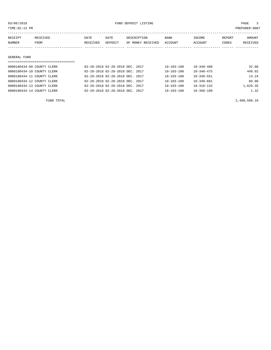| 03/06/2018                      |          |          | FUND DEPOSIT LISTING            |                   |                  |                  | 3<br>PAGE |          |
|---------------------------------|----------|----------|---------------------------------|-------------------|------------------|------------------|-----------|----------|
| TIME:02:13 PM<br>PREPARER: 0007 |          |          |                                 |                   |                  |                  |           |          |
|                                 |          |          |                                 |                   |                  |                  |           |          |
| RECEIPT                         | RECEIVED | DATE     | DATE                            | DESCRIPTION       | BANK             | INCOME           | REPORT    | AMOUNT   |
| NUMBER                          | FROM     | RECEIVED | DEPOSIT                         | OF MONEY RECEIVED | ACCOUNT          | ACCOUNT          | CODES     | RECEIVED |
|                                 |          |          |                                 |                   |                  |                  |           |          |
|                                 |          |          |                                 |                   |                  |                  |           |          |
| GENERAL FUND                    |          |          |                                 |                   |                  |                  |           |          |
|                                 |          |          |                                 |                   |                  |                  |           |          |
| 0000180434-09 COUNTY CLERK      |          |          | 02-28-2018 02-28-2018 DEC. 2017 |                   | $10 - 103 - 100$ | $10 - 340 - 400$ |           | 32.06    |
| 0000180434-10 COUNTY CLERK      |          |          | 02-28-2018 02-28-2018 DEC. 2017 |                   | $10 - 103 - 100$ | $10 - 340 - 475$ |           | 440.02   |
| 0000180434-11 COUNTY CLERK      |          |          | 02-28-2018 02-28-2018 DEC. 2017 |                   | $10 - 103 - 100$ | $10 - 340 - 551$ |           | 13.24    |
| 0000180434-12 COUNTY CLERK      |          |          | 02-28-2018 02-28-2018 DEC. 2017 |                   | $10 - 103 - 100$ | $10 - 340 - 601$ |           | 60.00    |

0000180434-13 COUNTY CLERK 02-28-2018 02-28-2018 DEC. 2017 10-103-100 10-318-132 1,629.35 0000180434-14 COUNTY CLERK 02-28-2018 02-28-2018 DEC. 2017 10-103-100 10-360-100 1.32

FUND TOTAL 2,498,598.10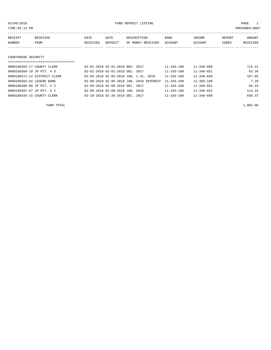03/06/2018 FUND DEPOSIT LISTING PAGE 1

| RECEIPT             | RECEIVED | DATE     | DATE    | DESCRIPTION       | <b>BANK</b> | INCOME  | REPORT | <b>AMOUNT</b> |
|---------------------|----------|----------|---------|-------------------|-------------|---------|--------|---------------|
| NUMBER              | FROM     | RECEIVED | DEPOSIT | OF MONEY RECEIVED | ACCOUNT     | ACCOUNT | CODES  | RECEIVED      |
|                     |          |          |         |                   |             |         |        |               |
|                     |          |          |         |                   |             |         |        |               |
| COURTHOUSE SECURITY |          |          |         |                   |             |         |        |               |

| ================================== |                                          |                  |                  |        |
|------------------------------------|------------------------------------------|------------------|------------------|--------|
| 0000180363-17 COUNTY CLERK         | 02-01-2018 02-01-2018 NOV. 2017          | $11 - 103 - 100$ | $11 - 340 - 600$ | 715.41 |
| 0000180366-10 JP PCT. # 3          | 02-01-2018 02-01-2018 DEC. 2017          | $11 - 103 - 100$ | $11 - 340 - 651$ | 63.36  |
| 0000180372-12 DISTRICT CLERK       | 02-05-2018 02-05-2018 JAN. 1-31, 2018    | 11-103-100       | $11 - 340 - 650$ | 187.05 |
| 0000180383-02 LEGEND BANK          | 02-08-2018 02-08-2018 JAN. 2018 INTEREST | $11 - 103 - 100$ | $11 - 360 - 100$ | 7.20   |
| 0000180386-08 JP PCT. # 2          | 02-09-2018 02-09-2018 DEC. 2017          | $11 - 103 - 100$ | $11 - 340 - 651$ | 64.43  |
| 0000180387-07 JP PCT. # 2          | 02-09-2018 02-09-2018 JAN. 2018          | $11 - 103 - 100$ | $11 - 340 - 651$ | 114.24 |
| 0000180434-15 COUNTY CLERK         | 02-28-2018 02-28-2018 DEC. 2017          | $11 - 103 - 100$ | $11 - 340 - 600$ | 650.37 |

FUND TOTAL  $1,802.06$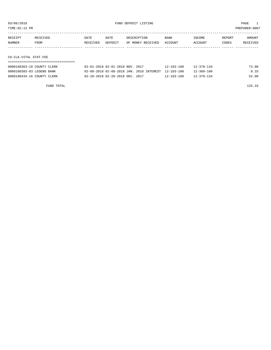TIME:02:13 PM PREPARER:0007

| RECEIPT               | RECEIVED | DATE     | DATE    | DESCRIPTION       | <b>BANK</b> | INCOME  | REPORT | AMOUNT   |
|-----------------------|----------|----------|---------|-------------------|-------------|---------|--------|----------|
| NUMBER                | FROM     | RECEIVED | DEPOSIT | OF MONEY RECEIVED | ACCOUNT     | ACCOUNT | CODES  | RECEIVED |
|                       |          |          |         |                   |             |         |        |          |
|                       |          |          |         |                   |             |         |        |          |
| CO.CLK.VITAL STAT.FEE |          |          |         |                   |             |         |        |          |

===================================

| 0000180363-18 COUNTY CLERK | 02-01-2018 02-01-2018 NOV. 2017                     | $12 - 103 - 100$ | $12 - 370 - 134$ | 73.00 |
|----------------------------|-----------------------------------------------------|------------------|------------------|-------|
| 0000180383-03 LEGEND BANK  | 02-08-2018 02-08-2018 JAN. 2018 INTEREST 12-103-100 |                  | $12 - 360 - 100$ | 0.33  |
| 0000180434-16 COUNTY CLERK | 02-28-2018 02-28-2018 DEC. 2017                     | $12 - 103 - 100$ | $12 - 370 - 134$ | 52.00 |

FUND TOTAL 125.33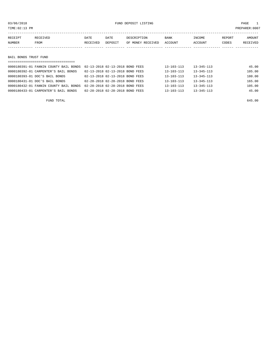| TIME: 02:13 PM           |                                        |                                 |                 |                                  |                        |                   |                 | PREPARER:0007      |
|--------------------------|----------------------------------------|---------------------------------|-----------------|----------------------------------|------------------------|-------------------|-----------------|--------------------|
| RECEIPT<br><b>NUMBER</b> | RECEIVED<br>FROM                       | DATE<br>RECEIVED                | DATE<br>DEPOSIT | DESCRIPTION<br>OF MONEY RECEIVED | <b>BANK</b><br>ACCOUNT | INCOME<br>ACCOUNT | REPORT<br>CODES | AMOUNT<br>RECEIVED |
|                          |                                        |                                 |                 |                                  |                        |                   |                 |                    |
| BAIL BONDS TRUST FUND    |                                        |                                 |                 |                                  |                        |                   |                 |                    |
|                          | --------------------------------       |                                 |                 |                                  |                        |                   |                 |                    |
|                          | 0000180391-01 FANNIN COUNTY BAIL BONDS | 02-13-2018 02-13-2018 BOND FEES |                 |                                  | $13 - 103 - 113$       | $13 - 345 - 113$  |                 | 45.00              |
|                          | 0000180392-01 CARPENTER'S BAIL BONDS   | 02-13-2018 02-13-2018 BOND FEES |                 |                                  | $13 - 103 - 113$       | $13 - 345 - 113$  |                 | 105.00             |

| www.communication.com/               |                                                                        |                                 |  |                  |                  | 200. UU |
|--------------------------------------|------------------------------------------------------------------------|---------------------------------|--|------------------|------------------|---------|
| 0000180393-01 DOC'S BAIL BONDS       |                                                                        | 02-13-2018 02-13-2018 BOND FEES |  | 13-103-113       | $13 - 345 - 113$ | 180.00  |
| 0000180431-01 DOC'S BAIL BONDS       |                                                                        | 02-28-2018 02-28-2018 BOND FEES |  | $13 - 103 - 113$ | $13 - 345 - 113$ | 165.00  |
|                                      | 0000180432-01 FANNIN COUNTY BAIL BONDS 02-28-2018 02-28-2018 BOND FEES |                                 |  | $13 - 103 - 113$ | $13 - 345 - 113$ | 105.00  |
| 0000180433-01 CARPENTER'S BAIL BONDS |                                                                        | 02-28-2018 02-28-2018 BOND FEES |  | 13-103-113       | 13-345-113       | 45.00   |
|                                      |                                                                        |                                 |  |                  |                  |         |

FUND TOTAL 645.00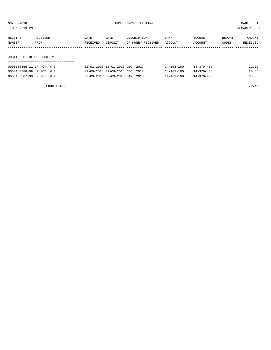| RECEIPT       | <b>RECEIVED</b> | DATE     | DATE    | DESCRIPTION       | <b>BANK</b> | <b>TNCOME</b> | REPORT | AMOUNT   |
|---------------|-----------------|----------|---------|-------------------|-------------|---------------|--------|----------|
| <b>NUMBER</b> | FROM            | RECEIVED | DEPOSIT | OF MONEY RECEIVED | ACCOUNT     | ACCOUNT       | CODES  | RECEIVED |
|               |                 |          |         |                   |             |               |        |          |

# JUSTICE CT.BLDG.SECURITY

| 0000180366-11 JP PCT. # 3 | 02-01-2018 02-01-2018 DEC. 2017 | $14 - 103 - 100$ | $14 - 370 - 457$ | 21.12 |
|---------------------------|---------------------------------|------------------|------------------|-------|
| 0000180386-09 JP PCT. # 2 | 02-09-2018 02-09-2018 DEC. 2017 | $14 - 103 - 100$ | $14 - 370 - 456$ | 20.48 |
| 0000180387-08 JP PCT. # 2 | 02-09-2018 02-09-2018 JAN. 2018 | 14-103-100       | $14 - 370 - 456$ | 38.08 |

FUND TOTAL 79.68

TIME:02:13 PM PREPARER:0007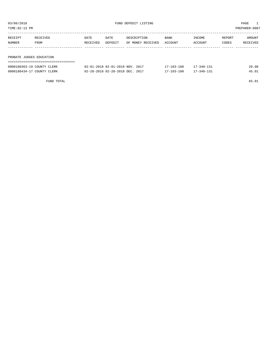| 03/06/2018<br>TIME: 02:13 PM                   |                  |                  |                                 | FUND DEPOSIT LISTING             |                 |                   |                 | PAGE<br>PREPARER: 0007 |
|------------------------------------------------|------------------|------------------|---------------------------------|----------------------------------|-----------------|-------------------|-----------------|------------------------|
| RECEIPT<br>NUMBER                              | RECEIVED<br>FROM | DATE<br>RECEIVED | DATE<br>DEPOSIT                 | DESCRIPTION<br>OF MONEY RECEIVED | BANK<br>ACCOUNT | INCOME<br>ACCOUNT | REPORT<br>CODES | AMOUNT<br>RECEIVED     |
|                                                |                  |                  |                                 |                                  |                 |                   |                 |                        |
| PROBATE JUDGES EDUCATION                       |                  |                  |                                 |                                  |                 |                   |                 |                        |
| $0.00010025220$ cornitions of $F_{\text{max}}$ |                  |                  | 00 01 0010 00 01 0010 MOIT 0017 |                                  | 17 103 100      | 17.210.121        |                 | $\cap$ $\cap$          |

| 0000180363-19 COUNTY CLERK | 02-01-2018 02-01-2018 NOV. 2017 | $17 - 103 - 100$ | $17 - 340 - 131$ | 20.00 |
|----------------------------|---------------------------------|------------------|------------------|-------|
| 0000180434-17 COUNTY CLERK | 02-28-2018 02-28-2018 DEC. 2017 | $17 - 103 - 100$ | $17 - 340 - 131$ | 45.01 |

FUND TOTAL 65.01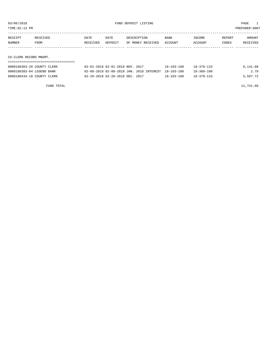|         | TIME:02:13 PM          |                            |          |                                 |                   |                  |                  |        | PREPARER:0007 |
|---------|------------------------|----------------------------|----------|---------------------------------|-------------------|------------------|------------------|--------|---------------|
|         |                        |                            |          |                                 |                   |                  |                  |        |               |
| RECEIPT |                        | RECEIVED                   | DATE     | DATE                            | DESCRIPTION       | <b>BANK</b>      | INCOME           | REPORT | AMOUNT        |
| NUMBER  |                        | FROM                       | RECEIVED | DEPOSIT                         | OF MONEY RECEIVED | ACCOUNT          | ACCOUNT          | CODES  | RECEIVED      |
|         |                        |                            |          |                                 |                   |                  |                  |        |               |
|         |                        |                            |          |                                 |                   |                  |                  |        |               |
|         | CO.CLERK RECORD MNGMT. |                            |          |                                 |                   |                  |                  |        |               |
|         |                        |                            |          |                                 |                   |                  |                  |        |               |
|         |                        | 0000180363-20 COUNTY CLERK |          | 02-01-2018 02-01-2018 NOV. 2017 |                   | $18 - 103 - 100$ | $18 - 370 - 133$ |        | 6,141.09      |

0000180383-04 LEGEND BANK 02-08-2018 02-08-2018 JAN. 2018 INTEREST 18-103-100 18-360-100 2.79 0000180434-18 COUNTY CLERK 02-28-2018 02-28-2018 DEC. 2017 18-103-100 18-370-133 5,597.72

FUND TOTAL  $11,741.60$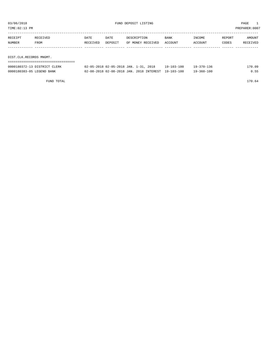| TIME: 02:13 PM               |      |                                       |             |                   |             |            |        | PREPARER:0007 |
|------------------------------|------|---------------------------------------|-------------|-------------------|-------------|------------|--------|---------------|
|                              |      |                                       |             |                   |             |            |        |               |
| RECEIPT<br>RECEIVED          | DATE | DATE                                  | DESCRIPTION |                   | <b>BANK</b> | INCOME     | REPORT | AMOUNT        |
| <b>NUMBER</b><br>FROM        |      | DEPOSIT<br>RECEIVED                   |             | OF MONEY RECEIVED | ACCOUNT     | ACCOUNT    | CODES  | RECEIVED      |
|                              |      |                                       |             |                   |             |            |        |               |
|                              |      |                                       |             |                   |             |            |        |               |
| DIST.CLK.RECORDS MNGMT.      |      |                                       |             |                   |             |            |        |               |
|                              |      |                                       |             |                   |             |            |        |               |
| 0000180372-13 DISTRICT CLERK |      | 02-05-2018 02-05-2018 JAN. 1-31, 2018 |             |                   | 19-103-100  | 19-370-136 |        | 170.09        |

0000180383-05 LEGEND BANK 02-08-2018 02-08-2018 JAN. 2018 INTEREST 19-103-100 19-360-100 0.55

FUND TOTAL 170.64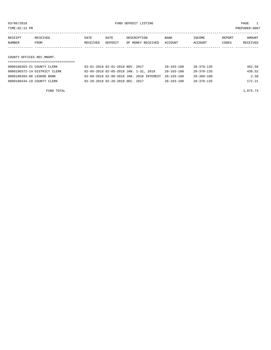TIME:02:13 PM PREPARER:0007

| RECEIPT                   | RECEIVED | DATE     | DATE    | DESCRIPTION       | <b>BANK</b> | INCOME  | REPORT | AMOUNT   |
|---------------------------|----------|----------|---------|-------------------|-------------|---------|--------|----------|
| NUMBER                    | FROM     | RECEIVED | DEPOSIT | OF MONEY RECEIVED | ACCOUNT     | ACCOUNT | CODES  | RECEIVED |
|                           |          |          |         |                   |             |         |        |          |
|                           |          |          |         |                   |             |         |        |          |
| COUNTY OFFICES REC.MNGMT. |          |          |         |                   |             |         |        |          |

| 0000180363-21 COUNTY CLERK   | 02-01-2018 02-01-2018 NOV. 2017                     | $20 - 103 - 100$ | 20-370-135       | 462.50 |
|------------------------------|-----------------------------------------------------|------------------|------------------|--------|
| 0000180372-14 DISTRICT CLERK | 02-05-2018 02-05-2018 JAN. 1-31, 2018               | $20 - 103 - 100$ | 20-370-135       | 438.52 |
| 0000180383-06 LEGEND BANK    | 02-08-2018 02-08-2018 JAN. 2018 INTEREST 20-103-100 |                  | $20 - 360 - 100$ | 2.50   |
| 0000180434-19 COUNTY CLERK   | 02-28-2018 02-28-2018 DEC. 2017                     | $20 - 103 - 100$ | $20 - 370 - 135$ | 172.21 |

FUND TOTAL  $1,075.73$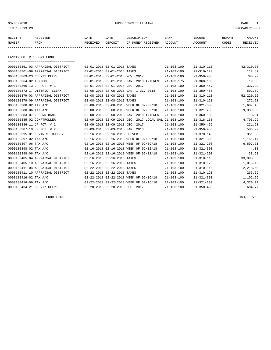### 03/06/2018 FUND DEPOSIT LISTING PAGE 1

| RECEIPT | RECEIVED | DATE     | DATE    | DESCRIPTION       | <b>BANK</b> | <b>INCOME</b> | <b>REPORT</b> | <b>AMOUNT</b>   |
|---------|----------|----------|---------|-------------------|-------------|---------------|---------------|-----------------|
| NUMBER  | FROM     | RECEIVED | DEPOSIT | OF MONEY RECEIVED | ACCOUNT     | ACCOUNT       | CODES         | <b>RECEIVED</b> |
|         |          |          |         |                   |             |               |               |                 |

FANNIN CO. R & B #1 FUND

| ===================================== |                                 |                                                      |                  |                  |           |
|---------------------------------------|---------------------------------|------------------------------------------------------|------------------|------------------|-----------|
| 0000180361-03 APPRAISAL DISTRICT      | 02-01-2018 02-01-2018 TAXES     |                                                      | $21 - 103 - 100$ | $21 - 310 - 110$ | 42,310.76 |
| 0000180361-09 APPRAISAL DISTRICT      | 02-01-2018 02-01-2018 TAXES     |                                                      | $21 - 103 - 100$ | $21 - 310 - 120$ | 112.82    |
| 0000180363-23 COUNTY CLERK            | 02-01-2018 02-01-2018 NOV. 2017 |                                                      | $21 - 103 - 100$ | $21 - 350 - 403$ | 790.97    |
| 0000180364-02 TEXPOOL                 |                                 | 02-01-2018 02-01-2018 JAN. 2018 INTEREST             | $21 - 103 - 175$ | $21 - 360 - 100$ | 19.33     |
| 0000180366-13 JP PCT. # 3             | 02-01-2018 02-01-2018 DEC. 2017 |                                                      | $21 - 103 - 100$ | $21 - 350 - 457$ | 337.29    |
| 0000180372-17 DISTRICT CLERK          |                                 | 02-05-2018 02-05-2018 JAN. 1-31, 2018                | $21 - 103 - 100$ | $21 - 350 - 450$ | 502.39    |
| 0000180379-03 APPRAISAL DISTRICT      | 02-08-2018 02-08-2018 TAXES     |                                                      | $21 - 103 - 100$ | $21 - 310 - 110$ | 52,220.62 |
| 0000180379-09 APPRAISAL DISTRICT      | 02-08-2018 02-08-2018 TAXES     |                                                      | $21 - 103 - 100$ | $21 - 310 - 120$ | 272.21    |
| 0000180380-02 TAX A/C                 |                                 | 02-08-2018 02-08-2018 WEEK OF 02/02/18               | $21 - 103 - 100$ | $21 - 321 - 300$ | 1,687.46  |
| 0000180380-06 TAX A/C                 |                                 | 02-08-2018 02-08-2018 WEEK OF 02/02/18               | $21 - 103 - 100$ | $21 - 321 - 200$ | 9,339.39  |
| 0000180383-07 LEGEND BANK             |                                 | 02-08-2018 02-08-2018 JAN. 2018 INTEREST             | $21 - 103 - 100$ | $21 - 360 - 100$ | 13.31     |
| 0000180385-02 COMPTROLLER             |                                 | 02-09-2018 02-09-2018 DEC. 2017 LOCAL SAL 21-103-100 |                  | $21 - 318 - 160$ | 4,703.29  |
| 0000180386-11 JP PCT. # 2             | 02-09-2018 02-09-2018 DEC. 2017 |                                                      | $21 - 103 - 100$ | $21 - 350 - 456$ | 221.98    |
| 0000180387-10 JP PCT. # 2             | 02-09-2018 02-09-2018 JAN. 2018 |                                                      | $21 - 103 - 100$ | $21 - 350 - 456$ | 506.97    |
| 0000180395-01 KEVIN S. HUDSON         | 02-16-2018 02-16-2018 CULVERT   |                                                      | $21 - 103 - 100$ | $21 - 370 - 145$ | 351.60    |
| 0000180397-02 TAX A/C                 |                                 | 02-16-2018 02-16-2018 WEEK OF 02/09/18               | $21 - 103 - 100$ | $21 - 321 - 300$ | 1,151.47  |
| 0000180397-06 TAX A/C                 |                                 | 02-16-2018 02-16-2018 WEEK OF 02/09/18               | $21 - 103 - 100$ | $21 - 321 - 200$ | 6,597.71  |
| 0000180398-02 TAX A/C                 |                                 | 02-16-2018 02-16-2018 WEEK OF 02/02/18               | $21 - 103 - 100$ | $21 - 321 - 300$ | 4.08      |
| 0000180398-06 TAX A/C                 |                                 | 02-16-2018 02-16-2018 WEEK OF 02/02/18               | $21 - 103 - 100$ | $21 - 321 - 200$ | 38.51     |
| 0000180405-04 APPRAISAL DISTRICT      | 02-16-2018 02-16-2018 TAXES     |                                                      | $21 - 103 - 100$ | $21 - 310 - 110$ | 33,908.65 |
| 0000180405-10 APPRAISAL DISTRICT      | 02-16-2018 02-16-2018 TAXES     |                                                      | $21 - 103 - 100$ | $21 - 310 - 120$ | 1,016.12  |
| 0000180411-04 APPRAISAL DISTRICT      | 02-22-2018 02-22-2018 TAXES     |                                                      | $21 - 103 - 100$ | $21 - 310 - 110$ | 2,218.60  |
| 0000180411-10 APPRAISAL DISTRICT      | 02-22-2018 02-22-2018 TAXES     |                                                      | $21 - 103 - 100$ | $21 - 310 - 120$ | 236.69    |
| 0000180416-02 TAX A/C                 |                                 | 02-22-2018 02-22-2018 WEEK OF 02/16/18               | $21 - 103 - 100$ | $21 - 321 - 300$ | 1,102.56  |
| 0000180416-06 TAX A/C                 |                                 | 02-22-2018 02-22-2018 WEEK OF 02/16/18               | $21 - 103 - 100$ | $21 - 321 - 200$ | 4,370.27  |
| 0000180434-21 COUNTY CLERK            | 02-28-2018 02-28-2018 DEC. 2017 |                                                      | $21 - 103 - 100$ | $21 - 350 - 403$ | 684.77    |
|                                       |                                 |                                                      |                  |                  |           |

FUND TOTAL 164,719.82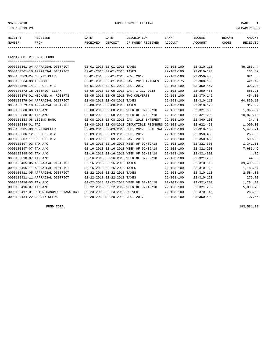# 03/06/2018 FUND DEPOSIT LISTING PAGE 1

| RECEIPT | RECEIVED | DATE     | DATE    | DESCRIPTION       | <b>BANK</b> | INCOME  | REPORT | <b>AMOUNT</b> |
|---------|----------|----------|---------|-------------------|-------------|---------|--------|---------------|
| NUMBER  | FROM     | RECEIVED | DEPOSIT | OF MONEY RECEIVED | ACCOUNT     | ACCOUNT | CODES  | RECEIVED      |
|         |          |          |         |                   |             |         |        |               |

FANNIN CO. R & B #2 FUND

| ------------------------------------- |                                 |                                                      |                  |                  |           |
|---------------------------------------|---------------------------------|------------------------------------------------------|------------------|------------------|-----------|
| 0000180361-04 APPRAISAL DISTRICT      | 02-01-2018 02-01-2018 TAXES     |                                                      | $22 - 103 - 100$ | $22 - 310 - 110$ | 49,286.44 |
| 0000180361-10 APPRAISAL DISTRICT      | 02-01-2018 02-01-2018 TAXES     |                                                      | $22 - 103 - 100$ | $22 - 310 - 120$ | 131.42    |
| 0000180363-24 COUNTY CLERK            | 02-01-2018 02-01-2018 NOV. 2017 |                                                      | $22 - 103 - 100$ | $22 - 350 - 403$ | 921.38    |
| 0000180364-03 TEXPOOL                 |                                 | 02-01-2018 02-01-2018 JAN. 2018 INTEREST             | $22 - 103 - 175$ | $22 - 360 - 100$ | 421.19    |
| 0000180366-14 JP PCT. # 3             | 02-01-2018 02-01-2018 DEC. 2017 |                                                      | $22 - 103 - 100$ | $22 - 350 - 457$ | 392.90    |
| 0000180372-18 DISTRICT CLERK          |                                 | 02-05-2018 02-05-2018 JAN. 1-31, 2018                | $22 - 103 - 100$ | $22 - 350 - 450$ | 585.21    |
| 0000180374-01 MICHAEL A. ROBERTS      |                                 | 02-05-2018 02-05-2018 TWO CULVERTS                   | $22 - 103 - 100$ | $22 - 370 - 145$ | 454.00    |
| 0000180379-04 APPRAISAL DISTRICT      | 02-08-2018 02-08-2018 TAXES     |                                                      | $22 - 103 - 100$ | $22 - 310 - 110$ | 60,830.10 |
| 0000180379-10 APPRAISAL DISTRICT      | 02-08-2018 02-08-2018 TAXES     |                                                      | $22 - 103 - 100$ | $22 - 310 - 120$ | 317.09    |
| 0000180380-03 TAX A/C                 |                                 | 02-08-2018 02-08-2018 WEEK OF 02/02/18               | $22 - 103 - 100$ | $22 - 321 - 300$ | 1,965.67  |
| 0000180380-07 TAX A/C                 |                                 | 02-08-2018 02-08-2018 WEEK OF 02/02/18               | $22 - 103 - 100$ | $22 - 321 - 200$ | 10,879.15 |
| 0000180383-08 LEGEND BANK             |                                 | 02-08-2018 02-08-2018 JAN. 2018 INTEREST             | 22-103-100       | $22 - 360 - 100$ | 24.41     |
| 0000180384-01 TAC                     |                                 | 02-08-2018 02-08-2018 DEDUCTIBLE REIMBURS 22-103-100 |                  | $22 - 622 - 458$ | 1,000.00  |
| 0000180385-03 COMPTROLLER             |                                 | 02-09-2018 02-09-2018 DEC. 2017 LOCAL SAL 22-103-100 |                  | $22 - 318 - 160$ | 5,478.71  |
| 0000180386-12 JP PCT. # 2             | 02-09-2018 02-09-2018 DEC. 2017 |                                                      | $22 - 103 - 100$ | $22 - 350 - 456$ | 258.58    |
| 0000180387-11 JP PCT. # 2             | 02-09-2018 02-09-2018 JAN. 2018 |                                                      | $22 - 103 - 100$ | $22 - 350 - 456$ | 590.56    |
| 0000180397-03 TAX A/C                 |                                 | 02-16-2018 02-16-2018 WEEK OF 02/09/18               | $22 - 103 - 100$ | $22 - 321 - 300$ | 1,341.31  |
| 0000180397-07 TAX A/C                 |                                 | 02-16-2018 02-16-2018 WEEK OF 02/09/18               | $22 - 103 - 100$ | $22 - 321 - 200$ | 7,685.46  |
| 0000180398-03 TAX A/C                 |                                 | 02-16-2018 02-16-2018 WEEK OF 02/02/18               | $22 - 103 - 100$ | $22 - 321 - 300$ | 4.75      |
| 0000180398-07 TAX A/C                 |                                 | 02-16-2018 02-16-2018 WEEK OF 02/02/18               | $22 - 103 - 100$ | $22 - 321 - 200$ | 44.85     |
| 0000180405-05 APPRAISAL DISTRICT      | 02-16-2018 02-16-2018 TAXES     |                                                      | $22 - 103 - 100$ | $22 - 310 - 110$ | 39,499.08 |
| 0000180405-11 APPRAISAL DISTRICT      | 02-16-2018 02-16-2018 TAXES     |                                                      | $22 - 103 - 100$ | $22 - 310 - 120$ | 1,183.64  |
| 0000180411-05 APPRAISAL DISTRICT      | 02-22-2018 02-22-2018 TAXES     |                                                      | $22 - 103 - 100$ | $22 - 310 - 110$ | 2,584.38  |
| 0000180411-11 APPRAISAL DISTRICT      | 02-22-2018 02-22-2018 TAXES     |                                                      | $22 - 103 - 100$ | $22 - 310 - 120$ | 275.72    |
| 0000180416-03 TAX A/C                 |                                 | 02-22-2018 02-22-2018 WEEK OF 02/16/18               | $22 - 103 - 100$ | $22 - 321 - 300$ | 1,284.33  |
| 0000180416-07 TAX A/C                 |                                 | 02-22-2018 02-22-2018 WEEK OF 02/16/18               | $22 - 103 - 100$ | $22 - 321 - 200$ | 5,090.79  |
| 0000180417-01 PETER HAMOND OUTARSINGH | 02-23-2018 02-23-2018 CULVERT   |                                                      | $22 - 103 - 100$ | $22 - 370 - 145$ | 253.00    |
| 0000180434-22 COUNTY CLERK            | 02-28-2018 02-28-2018 DEC. 2017 |                                                      | $22 - 103 - 100$ | $22 - 350 - 403$ | 797.66    |

FUND TOTAL 193,581.78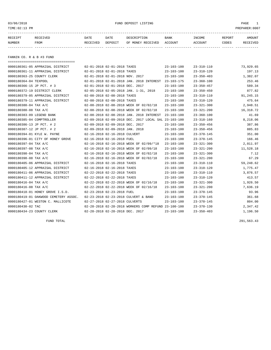# 03/06/2018 FUND DEPOSIT LISTING PAGE 1

| RECEIPT | RECEIVED    | DATE     | DATE    | DESCRIPTION               | BANK | INCOME  | REPORT | <b>AMOUNT</b> |
|---------|-------------|----------|---------|---------------------------|------|---------|--------|---------------|
| NUMBER  | <b>FROM</b> | RECEIVED | DEPOSIT | OF MONEY RECEIVED ACCOUNT |      | ACCOUNT | CODES  | RECEIVED      |
|         |             |          |         |                           |      |         |        |               |
|         |             |          |         |                           |      |         |        |               |

FANNIN CO. R & B #3 FUND

| ===================================== |                                 |                                                      |                  |                  |           |
|---------------------------------------|---------------------------------|------------------------------------------------------|------------------|------------------|-----------|
| 0000180361-05 APPRAISAL DISTRICT      | 02-01-2018 02-01-2018 TAXES     |                                                      | $23 - 103 - 100$ | $23 - 310 - 110$ | 73,929.65 |
| 0000180361-11 APPRAISAL DISTRICT      | 02-01-2018 02-01-2018 TAXES     |                                                      | $23 - 103 - 100$ | $23 - 310 - 120$ | 197.13    |
| 0000180363-25 COUNTY CLERK            | 02-01-2018 02-01-2018 NOV. 2017 |                                                      | $23 - 103 - 100$ | $23 - 350 - 403$ | 1,382.07  |
| 0000180364-04 TEXPOOL                 |                                 | 02-01-2018 02-01-2018 JAN. 2018 INTEREST 23-103-175  |                  | $23 - 360 - 100$ | 253.46    |
| 0000180366-15 JP PCT. # 3             | 02-01-2018 02-01-2018 DEC. 2017 |                                                      | $23 - 103 - 100$ | $23 - 350 - 457$ | 589.34    |
| 0000180372-19 DISTRICT CLERK          |                                 | 02-05-2018 02-05-2018 JAN. 1-31, 2018                | $23 - 103 - 100$ | $23 - 350 - 450$ | 877.82    |
| 0000180379-05 APPRAISAL DISTRICT      | 02-08-2018 02-08-2018 TAXES     |                                                      | $23 - 103 - 100$ | $23 - 310 - 110$ | 91,245.15 |
| 0000180379-11 APPRAISAL DISTRICT      | 02-08-2018 02-08-2018 TAXES     |                                                      | $23 - 103 - 100$ | $23 - 310 - 120$ | 475.64    |
| 0000180380-04 TAX A/C                 |                                 | 02-08-2018 02-08-2018 WEEK OF 02/02/18               | $23 - 103 - 100$ | $23 - 321 - 300$ | 2,948.51  |
| 0000180380-08 TAX A/C                 |                                 | 02-08-2018 02-08-2018 WEEK OF 02/02/18               | $23 - 103 - 100$ | $23 - 321 - 200$ | 16,318.72 |
| 0000180383-09 LEGEND BANK             |                                 | 02-08-2018 02-08-2018 JAN. 2018 INTEREST             | $23 - 103 - 100$ | $23 - 360 - 100$ | 41.69     |
| 0000180385-04 COMPTROLLER             |                                 | 02-09-2018 02-09-2018 DEC. 2017 LOCAL SAL 23-103-100 |                  | $23 - 318 - 160$ | 8,218.06  |
| 0000180386-13 JP PCT. # 2             | 02-09-2018 02-09-2018 DEC. 2017 |                                                      | $23 - 103 - 100$ | $23 - 350 - 456$ | 387.86    |
| 0000180387-12 JP PCT. # 2             | 02-09-2018 02-09-2018 JAN. 2018 |                                                      | $23 - 103 - 100$ | $23 - 350 - 456$ | 885.83    |
| 0000180394-01 KYLE W. PAYNE           | 02-16-2018 02-16-2018 CULVERT   |                                                      | $23 - 103 - 100$ | $23 - 370 - 145$ | 351.00    |
| 0000180396-01 CITY OF HONEY GROVE     | 02-16-2018 02-16-2018 FUEL      |                                                      | $23 - 103 - 100$ | $23 - 370 - 145$ | 166.46    |
| 0000180397-04 TAX A/C                 |                                 | 02-16-2018 02-16-2018 WEEK OF 02/09/*18              | $23 - 103 - 100$ | $23 - 321 - 300$ | 2,011.97  |
| 0000180397-08 TAX A/C                 |                                 | 02-16-2018 02-16-2018 WEEK OF 02/09/18               | 23-103-100       | $23 - 321 - 200$ | 11,528.18 |
| 0000180398-04 TAX A/C                 |                                 | 02-16-2018 02-16-2018 WEEK OF 02/02/18               | $23 - 103 - 100$ | $23 - 321 - 300$ | 7.12      |
| 0000180398-08 TAX A/C                 |                                 | 02-16-2018 02-16-2018 WEEK OF 02/02/18               | $23 - 103 - 100$ | $23 - 321 - 200$ | 67.29     |
| 0000180405-06 APPRAISAL DISTRICT      | 02-16-2018 02-16-2018 TAXES     |                                                      | $23 - 103 - 100$ | $23 - 310 - 110$ | 59,248.62 |
| 0000180405-12 APPRAISAL DISTRICT      | 02-16-2018 02-16-2018 TAXES     |                                                      | $23 - 103 - 100$ | $23 - 310 - 120$ | 1,775.47  |
| 0000180411-06 APPRAISAL DISTRICT      | 02-22-2018 02-22-2018 TAXES     |                                                      | $23 - 103 - 100$ | $23 - 310 - 110$ | 3,876.57  |
| 0000180411-12 APPRAISAL DISTRICT      | 02-22-2018 02-22-2018 TAXES     |                                                      | $23 - 103 - 100$ | $23 - 310 - 120$ | 413.57    |
| 0000180416-04 TAX A/C                 |                                 | 02-22-2018 02-22-2018 WEEK OF 02/16/18               | $23 - 103 - 100$ | $23 - 321 - 300$ | 1,926.50  |
| 0000180416-08 TAX A/C                 |                                 | 02-22-2018 02-22-2018 WEEK OF 02/16/18               | $23 - 103 - 100$ | $23 - 321 - 200$ | 7,636.19  |
| 0000180418-01 HONEY GROVE I.S.D.      | 02-23-2018 02-23-2018 FUEL      |                                                      | $23 - 103 - 100$ | $23 - 370 - 145$ | 93.96     |
| 0000180419-01 OAKWOOD CEMETERY ASSOC. |                                 | 02-23-2018 02-23-2018 CULVERT & BAND                 | $23 - 103 - 100$ | $23 - 370 - 145$ | 361.68    |
| 0000180427-01 WESTON C. MALLICOTE     | 02-27-2018 02-27-2018 CULVERTS  |                                                      | $23 - 103 - 100$ | $23 - 370 - 145$ | 804.00    |
| 0000180430-02 TAC                     |                                 | 02-28-2018 02-28-2018 WORKERS COMP REFUND 23-100-100 |                  | $23 - 370 - 130$ | 2,347.42  |
| 0000180434-23 COUNTY CLERK            | 02-28-2018 02-28-2018 DEC. 2017 |                                                      | $23 - 103 - 100$ | $23 - 350 - 403$ | 1,196.50  |

FUND TOTAL 291,563.43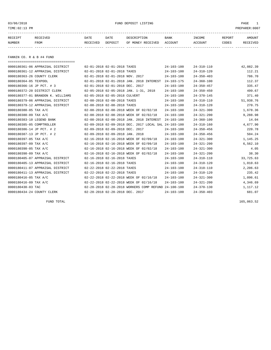# 03/06/2018 FUND DEPOSIT LISTING PAGE 1

| RECEIPT | RECEIVED | DATE     | DATE    | DESCRIPTION       | <b>BANK</b> | INCOME  | <b>REPORT</b> | AMOUNT          |
|---------|----------|----------|---------|-------------------|-------------|---------|---------------|-----------------|
| NUMBER  | FROM     | RECEIVED | DEPOSIT | OF MONEY RECEIVED | ACCOUNT     | ACCOUNT | CODES         | <b>RECEIVED</b> |
|         |          |          |         |                   |             |         |               |                 |

FANNIN CO. R & B #4 FUND

| ====================================== |                                 |                                                      |                  |                  |           |
|----------------------------------------|---------------------------------|------------------------------------------------------|------------------|------------------|-----------|
| 0000180361-06 APPRAISAL DISTRICT       | 02-01-2018 02-01-2018 TAXES     |                                                      | $24 - 103 - 100$ | $24 - 310 - 110$ | 42,082.39 |
| 0000180361-12 APPRAISAL DISTRICT       | 02-01-2018 02-01-2018 TAXES     |                                                      | $24 - 103 - 100$ | $24 - 310 - 120$ | 112.21    |
| 0000180363-26 COUNTY CLERK             | 02-01-2018 02-01-2018 NOV. 2017 |                                                      | $24 - 103 - 100$ | $24 - 350 - 403$ | 786.70    |
| 0000180364-05 TEXPOOL                  |                                 | 02-01-2018 02-01-2018 JAN. 2018 INTEREST             | $24 - 103 - 175$ | $24 - 360 - 100$ | 112.37    |
| 0000180366-16 JP PCT. # 3              | 02-01-2018 02-01-2018 DEC. 2017 |                                                      | $24 - 103 - 100$ | $24 - 350 - 457$ | 335.47    |
| 0000180372-20 DISTRICT CLERK           |                                 | 02-05-2018 02-05-2018 JAN. 1-31, 2018                | 24-103-100       | $24 - 350 - 450$ | 499.67    |
| 0000180377-01 BRANDON K. WILLIAMS      | 02-05-2018 02-05-2018 CULVERT   |                                                      | $24 - 103 - 100$ | $24 - 370 - 145$ | 371.40    |
| 0000180379-06 APPRAISAL DISTRICT       | 02-08-2018 02-08-2018 TAXES     |                                                      | $24 - 103 - 100$ | $24 - 310 - 110$ | 51,938.76 |
| 0000180379-12 APPRAISAL DISTRICT       | 02-08-2018 02-08-2018 TAXES     |                                                      | $24 - 103 - 100$ | $24 - 310 - 120$ | 270.75    |
| 0000180380-05 TAX A/C                  |                                 | 02-08-2018 02-08-2018 WEEK OF 02/02/18               | $24 - 103 - 100$ | $24 - 321 - 300$ | 1,678.36  |
| 0000180380-09 TAX A/C                  |                                 | 02-08-2018 02-08-2018 WEEK OF 02/02/18               | $24 - 103 - 100$ | $24 - 321 - 200$ | 9,288.98  |
| 0000180383-10 LEGEND BANK              |                                 | 02-08-2018 02-08-2018 JAN. 2018 INTEREST             | $24 - 103 - 100$ | $24 - 360 - 100$ | 14.04     |
| 0000180385-05 COMPTROLLER              |                                 | 02-09-2018 02-09-2018 DEC. 2017 LOCAL SAL 24-103-100 |                  | $24 - 318 - 160$ | 4,677.90  |
| 0000180386-14 JP PCT. # 2              | 02-09-2018 02-09-2018 DEC. 2017 |                                                      | $24 - 103 - 100$ | $24 - 350 - 456$ | 220.78    |
| 0000180387-13 JP PCT. # 2              | 02-09-2018 02-09-2018 JAN. 2018 |                                                      | $24 - 103 - 100$ | $24 - 350 - 456$ | 504.24    |
| 0000180397-05 TAX A/C                  |                                 | 02-16-2018 02-16-2018 WEEK OF 02/09/18               | $24 - 103 - 100$ | $24 - 321 - 300$ | 1,145.25  |
| 0000180397-09 TAX A/C                  |                                 | 02-16-2018 02-16-2018 WEEK OF 02/09/18               | $24 - 103 - 100$ | $24 - 321 - 200$ | 6,562.10  |
| 0000180398-05 TAX A/C                  |                                 | 02-16-2018 02-16-2018 WEEK OF 02/02/18               | $24 - 103 - 100$ | $24 - 321 - 300$ | 4.05      |
| 0000180398-09 TAX A/C                  |                                 | 02-16-2018 02-16-2018 WEEK OF 02/02/18               | $24 - 103 - 100$ | $24 - 321 - 200$ | 38.30     |
| 0000180405-07 APPRAISAL DISTRICT       | 02-16-2018 02-16-2018 TAXES     |                                                      | $24 - 103 - 100$ | $24 - 310 - 110$ | 33,725.63 |
| 0000180405-13 APPRAISAL DISTRICT       | 02-16-2018 02-16-2018 TAXES     |                                                      | $24 - 103 - 100$ | $24 - 310 - 120$ | 1,010.63  |
| 0000180411-07 APPRAISAL DISTRICT       | 02-22-2018 02-22-2018 TAXES     |                                                      | $24 - 103 - 100$ | $24 - 310 - 110$ | 2,206.63  |
| 0000180411-13 APPRAISAL DISTRICT       | 02-22-2018 02-22-2018 TAXES     |                                                      | 24-103-100       | $24 - 310 - 120$ | 235.42    |
| 0000180416-05 TAX A/C                  |                                 | 02-22-2018 02-22-2018 WEEK OF 02/16/18               | $24 - 103 - 100$ | $24 - 321 - 300$ | 1,096.61  |
| 0000180416-09 TAX A/C                  |                                 | 02-22-2018 02-22-2018 WEEK OF 02/16/18               | $24 - 103 - 100$ | $24 - 321 - 200$ | 4,346.69  |
| 0000180430-03 TAC                      |                                 | 02-28-2018 02-28-2018 WORKERS COMP REFUND 24-100-100 |                  | $24 - 370 - 130$ | 1,117.12  |
| 0000180434-24 COUNTY CLERK             | 02-28-2018 02-28-2018 DEC. 2017 |                                                      | $24 - 103 - 100$ | $24 - 350 - 403$ | 681.07    |

FUND TOTAL  $165,063.52$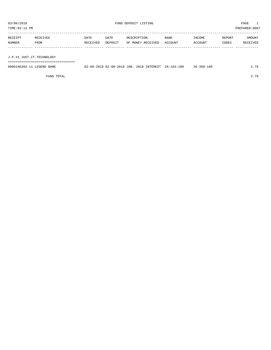TIME:02:13 PM PREPARER:0007 ----------------------------------------------------------------------------------------------------------------------------------- RECEIPT RECEIVED DATE DATE DESCRIPTION BANK INCOME REPORT AMOUNT NUMBER FROM RECEIVED DEPOSIT OF MONEY RECEIVED ACCOUNT ACCOUNT CODES RECEIVED ------------- ------------------------- ---------- ---------- ------------------- -------------- -------------- ------ ------------

J.P.#1 JUST.CT.TECHNOLOGY

===================================

| 0000180383-11 LEGEND BANK | 02-08-2018 02-08-2018 JAN, 2018 INTEREST 26-103-100 |  |  | $26 - 360 - 100$ | 79 |
|---------------------------|-----------------------------------------------------|--|--|------------------|----|
|                           |                                                     |  |  |                  |    |

FUND TOTAL 2.79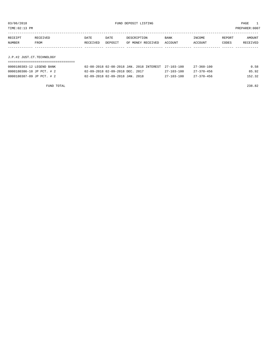| . | `n |  | $\Lambda N^{\tau}$ | . |  |
|---|----|--|--------------------|---|--|

| RECEIPT                   | RECEIVED | DATE     | DATE    | DESCRIPTION       | BANK    | INCOME  | REPORT | AMOUNT   |
|---------------------------|----------|----------|---------|-------------------|---------|---------|--------|----------|
| NUMBER                    | FROM     | RECEIVED | DEPOSIT | OF MONEY RECEIVED | ACCOUNT | ACCOUNT | CODES  | RECEIVED |
|                           |          |          |         |                   |         |         |        |          |
|                           |          |          |         |                   |         |         |        |          |
| J.P.#2 JUST.CT.TECHNOLOGY |          |          |         |                   |         |         |        |          |
|                           |          |          |         |                   |         |         |        |          |

| 0000180383-12 LEGEND BANK |  | 02-08-2018 02-08-2018 JAN. 2018 INTEREST 27-103-100 |                  | $27 - 360 - 100$ | 0.58   |
|---------------------------|--|-----------------------------------------------------|------------------|------------------|--------|
| 0000180386-10 JP PCT. # 2 |  | 02-09-2018 02-09-2018 DEC. 2017                     | $27 - 103 - 100$ | 27–370–456       | 85.92  |
| 0000180387-09 JP PCT. # 2 |  | 02-09-2018 02-09-2018 JAN. 2018                     | 27-103-100       | $27 - 370 - 456$ | 152.32 |

FUND TOTAL 238.82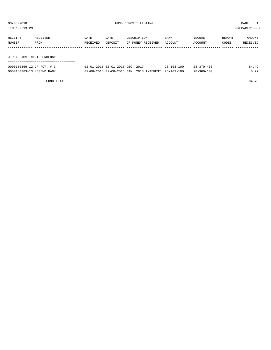| TIME:02:13 PM             |                                    |          |                                          |                   |  |                  |                  |        | PREPARER: 0007 |  |
|---------------------------|------------------------------------|----------|------------------------------------------|-------------------|--|------------------|------------------|--------|----------------|--|
| RECEIPT                   | RECEIVED                           | DATE     | DATE                                     | DESCRIPTION       |  | <b>BANK</b>      | INCOME           | REPORT | AMOUNT         |  |
| NUMBER                    | <b>FROM</b>                        | RECEIVED | DEPOSIT                                  | OF MONEY RECEIVED |  | ACCOUNT          | ACCOUNT          | CODES  | RECEIVED       |  |
|                           |                                    |          |                                          |                   |  |                  |                  |        |                |  |
| J.P.#3 JUST.CT.TECHNOLOGY |                                    |          |                                          |                   |  |                  |                  |        |                |  |
| 0000180366-12 JP PCT. # 3 | ,,,,,,,,,,,,,,,,,,,,,,,,,,,,,,,,,, |          | 02-01-2018 02-01-2018 DEC. 2017          |                   |  | $28 - 103 - 100$ | $28 - 370 - 456$ |        | 84.49          |  |
| 0000180383-13 LEGEND BANK |                                    |          | 02-08-2018 02-08-2018 JAN. 2018 INTEREST |                   |  | $28 - 103 - 100$ | $28 - 360 - 100$ |        | 0.29           |  |
|                           |                                    |          |                                          |                   |  |                  |                  |        |                |  |

FUND TOTAL 84.78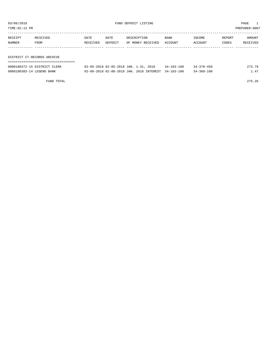| TIME: 02:13 PM |                              |          |         |                                       |                  |                  |        | PREPARER:0007 |
|----------------|------------------------------|----------|---------|---------------------------------------|------------------|------------------|--------|---------------|
|                |                              |          |         |                                       |                  |                  |        |               |
| RECEIPT        | RECEIVED                     | DATE     | DATE    | DESCRIPTION                           | BANK             | INCOME           | REPORT | AMOUNT        |
| NUMBER         | FROM                         | RECEIVED | DEPOSIT | OF MONEY RECEIVED                     | ACCOUNT          | ACCOUNT          | CODES  | RECEIVED      |
|                |                              |          |         |                                       |                  |                  |        |               |
|                |                              |          |         |                                       |                  |                  |        |               |
|                | DISTRICT CT.RECORDS ARCHIVE  |          |         |                                       |                  |                  |        |               |
|                |                              |          |         |                                       |                  |                  |        |               |
|                | 0000180372-15 DISTRICT CLERK |          |         | 02-05-2018 02-05-2018 JAN. 1-31, 2018 | $34 - 103 - 100$ | $34 - 370 - 450$ |        | 273.79        |

0000180383-14 LEGEND BANK 02-08-2018 02-08-2018 JAN. 2018 INTEREST 34-103-100 34-360-100 1.47

FUND TOTAL 275.26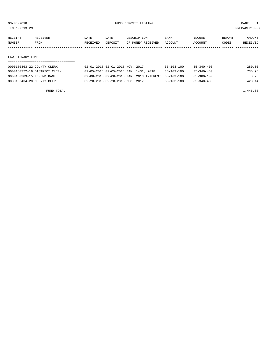TIME:02:13 PM PREPARER:0007

| RECEIPT | RECEIVED    | DATE     | DATE    | DESCRIPTION       | <b>BANK</b> | INCOME         | REPORT | AMOUNT          |
|---------|-------------|----------|---------|-------------------|-------------|----------------|--------|-----------------|
| NUMBER  | <b>FROM</b> | RECEIVED | DEPOSIT | OF MONEY RECEIVED | ACCOUNT     | <b>ACCOUNT</b> | CODES  | <b>RECEIVED</b> |
|         |             |          |         |                   |             |                |        |                 |

#### LAW LIBRARY FUND

| 0000180363-22 COUNTY CLERK   | 02-01-2018 02-01-2018 NOV. 2017                     | 35-103-100       | $35 - 340 - 403$ | 280.00 |
|------------------------------|-----------------------------------------------------|------------------|------------------|--------|
| 0000180372-16 DISTRICT CLERK | 02-05-2018 02-05-2018 JAN. 1-31, 2018               | $35 - 103 - 100$ | $35 - 340 - 450$ | 735.96 |
| 0000180383-15 LEGEND BANK    | 02-08-2018 02-08-2018 JAN. 2018 INTEREST 35-103-100 |                  | $35 - 360 - 100$ | 8.93   |
| 0000180434-20 COUNTY CLERK   | 02-28-2018 02-28-2018 DEC. 2017                     | $35 - 103 - 100$ | $35 - 340 - 403$ | 420.14 |

FUND TOTAL  $1,445.03$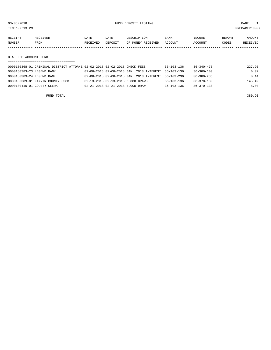| TIME: 02:13 PM        |          |          |         |                   |             |         |        | PREPARER:0007 |  |  |
|-----------------------|----------|----------|---------|-------------------|-------------|---------|--------|---------------|--|--|
|                       |          |          |         |                   |             |         |        |               |  |  |
| RECEIPT               | RECEIVED | DATE     | DATE    | DESCRIPTION       | <b>BANK</b> | INCOME  | REPORT | AMOUNT        |  |  |
| NUMBER                | FROM     | RECEIVED | DEPOSIT | OF MONEY RECEIVED | ACCOUNT     | ACCOUNT | CODES  | RECEIVED      |  |  |
|                       |          |          |         |                   |             |         |        |               |  |  |
|                       |          |          |         |                   |             |         |        |               |  |  |
| D.A. FEE ACCOUNT FUND |          |          |         |                   |             |         |        |               |  |  |
|                       |          |          |         |                   |             |         |        |               |  |  |

| 0000180368-01 CRIMINAL DISTRICT ATTORNE 02-02-2018 02-02-2018 CHECK FEES |                                                     | $36 - 103 - 136$ | $36 - 340 - 475$ | 227.20 |
|--------------------------------------------------------------------------|-----------------------------------------------------|------------------|------------------|--------|
| 0000180383-23 LEGEND BANK                                                | 02-08-2018 02-08-2018 JAN. 2018 INTEREST 36-103-136 |                  | $36 - 360 - 100$ | 0.07   |
| 0000180383-24 LEGEND BANK                                                | 02-08-2018 02-08-2018 JAN. 2018 INTEREST 36-103-236 |                  | $36 - 360 - 236$ | 0.14   |
| 0000180389-01 FANNIN COUNTY CSCD                                         | 02-13-2018 02-13-2018 BLOOD DRAWS                   | $36 - 103 - 136$ | 36-370-130       | 145.49 |
| 0000180410-01 COUNTY CLERK                                               | 02-21-2018 02-21-2018 BLOOD DRAW                    | $36 - 103 - 136$ | $36 - 370 - 130$ | 8.00   |
|                                                                          |                                                     |                  |                  |        |

FUND TOTAL 380.90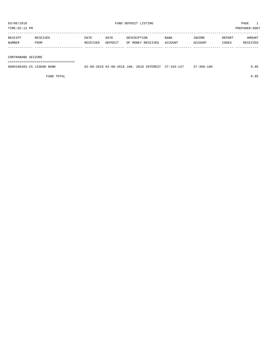PREPARER:0007

| 03/06/2018<br>TIME: 02:13 PM |                  | FUND DEPOSIT LISTING |                 |                                  |                        | PAGE<br>1<br>PREPARER: 0007 |                 |                           |
|------------------------------|------------------|----------------------|-----------------|----------------------------------|------------------------|-----------------------------|-----------------|---------------------------|
| RECEIPT<br>NUMBER            | RECEIVED<br>FROM | DATE<br>RECEIVED     | DATE<br>DEPOSIT | DESCRIPTION<br>OF MONEY RECEIVED | <b>BANK</b><br>ACCOUNT | INCOME<br>ACCOUNT           | REPORT<br>CODES | AMOUNT<br><b>RECEIVED</b> |
| CONTRABAND SEIZURE           |                  |                      |                 |                                  |                        |                             |                 |                           |

===================================

| 0000180383-25 LEGEND BANK | 02-08-2018 02-08-2018 JAN. 2018 INTEREST 37-103-137 |  | $37 - 360 - 100$ | 0.05 |
|---------------------------|-----------------------------------------------------|--|------------------|------|
|                           |                                                     |  |                  |      |

FUND TOTAL 0.05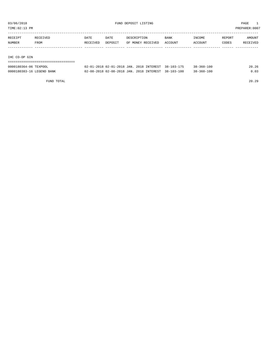TIME:02:13 PM PREPARER:0007

| RECEIPT        | RECEIVED | DATE     | <b>DATE</b> | DESCRIPTION       | BANK    | INCOME  | REPORT | AMOUNT   |
|----------------|----------|----------|-------------|-------------------|---------|---------|--------|----------|
| NUMBER         | FROM     | RECEIVED | DEPOSIT     | OF MONEY RECEIVED | ACCOUNT | ACCOUNT | CODES  | RECEIVED |
|                |          |          |             |                   |         |         |        |          |
|                |          |          |             |                   |         |         |        |          |
| ______________ |          |          |             |                   |         |         |        |          |

IHC CO-OP GIN

# ===================================

| 0000180364-06 TEXPOOL     | 02-01-2018 02-01-2018 JAN. 2018 INTEREST 38-103-175 |  | $38 - 360 - 100$ |  |
|---------------------------|-----------------------------------------------------|--|------------------|--|
| 0000180383-16 LEGEND BANK | 02-08-2018 02-08-2018 JAN. 2018 INTEREST 38-103-100 |  | $38 - 360 - 100$ |  |

FUND TOTAL 20.29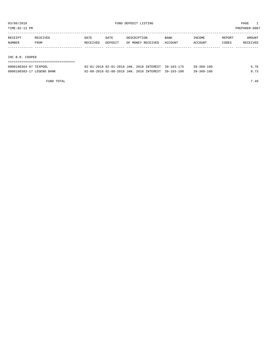TIME:02:13 PM PREPARER:0007

| RECEIPT | RECEIVED | DATE     | DATE    | DESCRIPTION       | BANK    | INCOME  | REPORT | AMOUNT   |
|---------|----------|----------|---------|-------------------|---------|---------|--------|----------|
| NUMBER  | FROM     | RECEIVED | DEPOSIT | OF MONEY RECEIVED | ACCOUNT | ACCOUNT | CODES  | RECEIVED |
|         |          |          |         |                   |         |         |        |          |
|         |          |          |         |                   |         |         |        |          |

IHC B.R. COOPER

| ====================================== |                                                     |  |                  |      |
|----------------------------------------|-----------------------------------------------------|--|------------------|------|
| 0000180364-07 TEXPOOL                  | 02-01-2018 02-01-2018 JAN. 2018 INTEREST 39-103-175 |  | $39 - 360 - 100$ | 6.76 |
| 0000180383-17 LEGEND BANK              | 02-08-2018 02-08-2018 JAN. 2018 INTEREST 39-103-100 |  | $39 - 360 - 100$ | 0.73 |

FUND TOTAL 7.49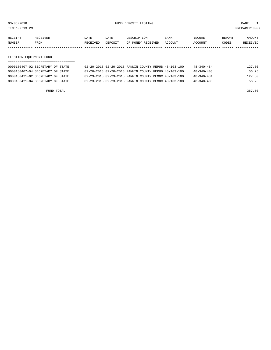TIME:02:13 PM PREPARER:0007

| RECEIPT | <b>RECEIVED</b> | DATE     | <b>DATE</b> | DESCRIPTION       | <b>BANK</b> | <b>INCOME</b>  | REPORT | AMOUNT          |
|---------|-----------------|----------|-------------|-------------------|-------------|----------------|--------|-----------------|
| NUMBER  | <b>FROM</b>     | RECEIVED | DEPOSIT     | OF MONEY RECEIVED | ACCOUNT     | <b>ACCOUNT</b> | CODES  | <b>RECEIVED</b> |
|         |                 |          |             |                   |             |                |        |                 |

### ELECTION EQUIPMENT FUND

| 0000180407-02 SECRETARY OF STATE | 02-20-2018 02-20-2018 FANNIN COUNTY REPUB 48-103-100 |  | $48 - 340 - 484$ | 127.50 |
|----------------------------------|------------------------------------------------------|--|------------------|--------|
| 0000180407-04 SECRETARY OF STATE | 02-20-2018 02-20-2018 FANNIN COUNTY REPUB 48-103-100 |  | $48 - 340 - 403$ | 56.25  |
| 0000180421-02 SECRETARY OF STATE | 02-23-2018 02-23-2018 FANNIN COUNTY DEMOC 48-103-100 |  | $48 - 340 - 484$ | 127.50 |
| 0000180421-04 SECRETARY OF STATE | 02-23-2018 02-23-2018 FANNIN COUNTY DEMOC 48-103-100 |  | $48 - 340 - 403$ | 56.25  |

FUND TOTAL 367.50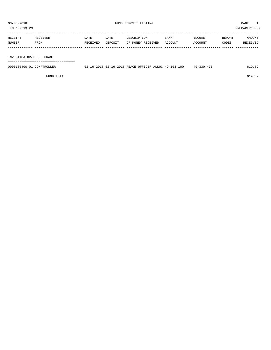TIME:02:13 PM PREPARER:0007

| RECEIPT | <b>RECEIVED</b> | DATE     | DATE    | DESCRIPTION       | <b>BANK</b> | INCOME         | REPORT | AMOUNT   |
|---------|-----------------|----------|---------|-------------------|-------------|----------------|--------|----------|
| NUMBER  | <b>FROM</b>     | RECEIVED | DEPOSIT | OF MONEY RECEIVED | ACCOUNT     | <b>ACCOUNT</b> | CODES  | RECEIVED |
|         |                 |          |         |                   |             |                |        |          |

INVESTIGATOR/LEOSE GRANT

===================================

| 0000180400-01<br>COMPTROLLER | -16-2018 02-16-2018 PEACE OFFICER ALLOC 49-103-100 | $49 - 330 - 475$ |  |
|------------------------------|----------------------------------------------------|------------------|--|
|                              |                                                    |                  |  |

FUND TOTAL 619.89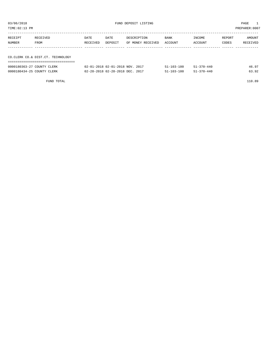| 03/06/2018<br>FUND DEPOSIT LISTING<br>TIME:02:13 PM |                  |                  |                                             |                                  |                  | PAGE<br>PREPARER: 0007 |                 |                    |
|-----------------------------------------------------|------------------|------------------|---------------------------------------------|----------------------------------|------------------|------------------------|-----------------|--------------------|
| RECEIPT<br>NUMBER                                   | RECEIVED<br>FROM | DATE<br>RECEIVED | DATE<br>DEPOSIT                             | DESCRIPTION<br>OF MONEY RECEIVED | BANK<br>ACCOUNT  | INCOME<br>ACCOUNT      | REPORT<br>CODES | AMOUNT<br>RECEIVED |
| CO.CLERK CO.& DIST.CT. TECHNOLOGY                   |                  |                  |                                             |                                  |                  |                        |                 |                    |
| 0000180363-27 COUNTY CLERK                          |                  |                  | $02 - 01 - 2018$ $02 - 01 - 2018$ NOV, 2017 |                                  | $51 - 103 - 100$ | $51 - 370 - 440$       |                 | 46.97              |

0000180434-25 COUNTY CLERK 02-28-2018 02-28-2018 DEC. 2017 51-103-100 51-370-440 63.92

FUND TOTAL 110.89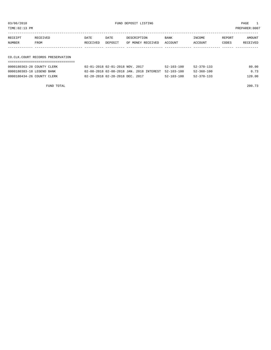03/06/2018 FUND DEPOSIT LISTING PAGE 1

| RECEIPT | RECEIVED                          | DATE     | DATE    | DESCRIPTION       | <b>BANK</b> | INCOME  | REPORT | AMOUNT   |
|---------|-----------------------------------|----------|---------|-------------------|-------------|---------|--------|----------|
| NUMBER  | FROM                              | RECEIVED | DEPOSIT | OF MONEY RECEIVED | ACCOUNT     | ACCOUNT | CODES  | RECEIVED |
|         |                                   |          |         |                   |             |         |        |          |
|         |                                   |          |         |                   |             |         |        |          |
|         | CO.CLK.COURT RECORDS PRESERVATION |          |         |                   |             |         |        |          |

# ===================================

| 0000180363-28 COUNTY CLERK |  | 02-01-2018 02-01-2018 NOV. 2017                     | 52-103-100       | $52 - 370 - 133$ | 80.00  |
|----------------------------|--|-----------------------------------------------------|------------------|------------------|--------|
| 0000180383-18 LEGEND BANK  |  | 02-08-2018 02-08-2018 JAN. 2018 INTEREST 52-103-100 |                  | $52 - 360 - 100$ | 0.73   |
| 0000180434-26 COUNTY CLERK |  | 02-28-2018 02-28-2018 DEC. 2017                     | $52 - 103 - 100$ | 52-370-133       | 120.00 |

FUND TOTAL 200.73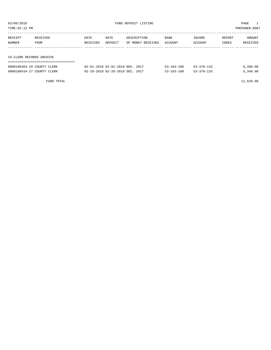| 03/06/2018<br>FUND DEPOSIT LISTING<br>TIME: 02:13 PM |                  |                  |                                             |                                  |                  |                          |                 | PAGE<br>PREPARER: 0007 |
|------------------------------------------------------|------------------|------------------|---------------------------------------------|----------------------------------|------------------|--------------------------|-----------------|------------------------|
| RECEIPT<br>NUMBER                                    | RECEIVED<br>FROM | DATE<br>RECEIVED | DATE<br>DEPOSIT                             | DESCRIPTION<br>OF MONEY RECEIVED | BANK<br>ACCOUNT  | <b>TNCOME</b><br>ACCOUNT | REPORT<br>CODES | AMOUNT<br>RECEIVED     |
| CO. CLERK RECORDS ARCHIVE                            |                  |                  |                                             |                                  |                  |                          |                 |                        |
| 0000180363-29 COUNTY CLERK                           |                  |                  | $02 - 01 - 2018$ $02 - 01 - 2018$ NOV, 2017 |                                  | $53 - 103 - 100$ | $53 - 370 - 133$         |                 | 6,280.00               |

0000180434-27 COUNTY CLERK 02-28-2018 02-28-2018 DEC. 2017 53-103-100 53-370-133 5,340.00

 $F$ UND TOTAL  $11,620.00$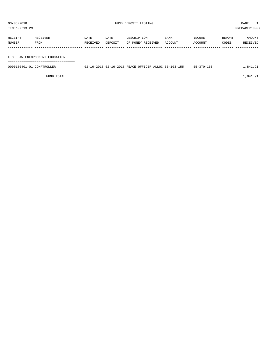| TIME:02:13 PM |                                |          |         |                   |         |         |        | PREPARER:0007 |
|---------------|--------------------------------|----------|---------|-------------------|---------|---------|--------|---------------|
| RECEIPT       | RECEIVED                       | DATE     | DATE    | DESCRIPTION       | BANK    | INCOME  | REPORT | AMOUNT        |
| NUMBER        | FROM                           | RECEIVED | DEPOSIT | OF MONEY RECEIVED | ACCOUNT | ACCOUNT | CODES  | RECEIVED      |
|               |                                |          |         |                   |         |         |        |               |
|               | F.C. LAW ENFORCEMENT EDUCATION |          |         |                   |         |         |        |               |
|               |                                |          |         |                   |         |         |        |               |

| 0000180401-01 COMPTROLLER | 02-16-2018 02-16-2018 PEACE OFFICER ALLOC 55-103-155 |  | $55 - 370 - 160$ | .841.91 |
|---------------------------|------------------------------------------------------|--|------------------|---------|
|                           |                                                      |  |                  |         |

FUND TOTAL  $1,841.91$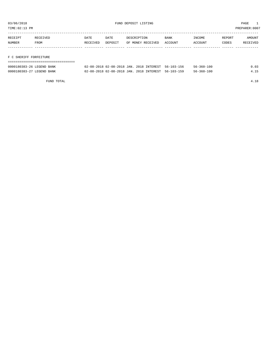TIME:02:13 PM PREPARER:0007

| RECEIPT                | RECEIVED | DATE     | DATE    | DESCRIPTION       | BANK    | INCOME  | REPORT | AMOUNT   |
|------------------------|----------|----------|---------|-------------------|---------|---------|--------|----------|
| NUMBER                 | FROM     | RECEIVED | DEPOSIT | OF MONEY RECEIVED | ACCOUNT | ACCOUNT | CODES  | RECEIVED |
|                        |          |          |         |                   |         |         |        |          |
|                        |          |          |         |                   |         |         |        |          |
| F C SHERIFF FORFEITURE |          |          |         |                   |         |         |        |          |

| 0000180383-26 LEGEND BANK | 02-08-2018 02-08-2018 JAN. 2018 INTEREST 56-103-156 |  | $56 - 360 - 100$ | 0.03 |
|---------------------------|-----------------------------------------------------|--|------------------|------|
| 0000180383-27 LEGEND BANK | 02-08-2018 02-08-2018 JAN. 2018 INTEREST 56-103-159 |  | $56 - 360 - 100$ | 4 15 |

FUND TOTAL 4.18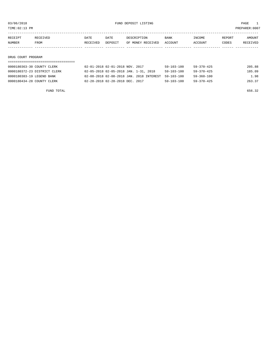TIME:02:13 PM PREPARER:0007

| RECEIPT            | RECEIVED | DATE     | DATE    | DESCRIPTION       | <b>BANK</b> | INCOME  | REPORT | AMOUNT   |
|--------------------|----------|----------|---------|-------------------|-------------|---------|--------|----------|
| NUMBER             | FROM     | RECEIVED | DEPOSIT | OF MONEY RECEIVED | ACCOUNT     | ACCOUNT | CODES  | RECEIVED |
|                    |          |          |         |                   |             |         |        |          |
|                    |          |          |         |                   |             |         |        |          |
| DRUG COURT PROGRAM |          |          |         |                   |             |         |        |          |

| 0000180363-30 COUNTY CLERK   | 02-01-2018 02-01-2018 NOV. 2017          | $59 - 103 - 100$ | $59 - 370 - 425$ | 205.88 |
|------------------------------|------------------------------------------|------------------|------------------|--------|
| 0000180372-23 DISTRICT CLERK | 02-05-2018 02-05-2018 JAN. 1-31, 2018    | $59 - 103 - 100$ | $59 - 370 - 425$ | 185.09 |
| 0000180383-19 LEGEND BANK    | 02-08-2018 02-08-2018 JAN. 2018 INTEREST | 59-103-100       | 59-360-100       | 1.98   |
| 0000180434-28 COUNTY CLERK   | 02-28-2018 02-28-2018 DEC. 2017          | $59 - 103 - 100$ | $59 - 370 - 425$ | 263.37 |

FUND TOTAL 656.32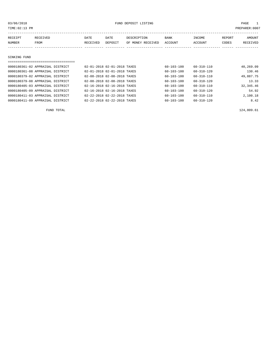03/06/2018 PAGE 1

| TIME: 02:13 PM |                                  |          |                             |                   |                  |                  |               | PREPARER: 0007 |
|----------------|----------------------------------|----------|-----------------------------|-------------------|------------------|------------------|---------------|----------------|
| RECEIPT        | <b>RECEIVED</b>                  | DATE     | DATE                        | DESCRIPTION       | BANK             | INCOME           | <b>REPORT</b> | AMOUNT         |
| <b>NUMBER</b>  | FROM                             | RECEIVED | DEPOSIT                     | OF MONEY RECEIVED | ACCOUNT          | ACCOUNT          | CODES         | RECEIVED       |
|                |                                  |          |                             |                   |                  |                  |               |                |
|                |                                  |          |                             |                   |                  |                  |               |                |
| SINKING FUND   |                                  |          |                             |                   |                  |                  |               |                |
|                |                                  |          |                             |                   |                  |                  |               |                |
|                | 0000180361-02 APPRAISAL DISTRICT |          | 02-01-2018 02-01-2018 TAXES |                   | $60 - 103 - 100$ | $60 - 310 - 110$ |               | 40,269.09      |
|                | 0000180361-08 APPRAISAL DISTRICT |          | 02-01-2018 02-01-2018 TAXES |                   | $60 - 103 - 100$ | $60 - 310 - 120$ |               | 130.46         |
|                | 0000180379-02 APPRAISAL DISTRICT |          | 02-08-2018 02-08-2018 TAXES |                   | $60 - 103 - 100$ | $60 - 310 - 110$ |               | 49,887.75      |
|                | 0000180379-08 APPRAISAL DISTRICT |          | 02-08-2018 02-08-2018 TAXES |                   | 60-103-100       | $60 - 310 - 120$ |               | 13.33          |
|                | 0000180405-03 APPRAISAL DISTRICT |          | 02-16-2018 02-16-2018 TAXES |                   | 60-103-100       | 60-310-110       |               | 32,345.46      |
|                |                                  |          |                             |                   |                  |                  |               |                |

0000180405-09 APPRAISAL DISTRICT  $02-16-2018$  02-16-2018 TAXES  $60-103-100$   $60-310-120$ 0000180411-03 APPRAISAL DISTRICT 02-22-2018 02-22-2018 TAXES 60-103-100 60-310-110 2,100.18 0000180411-09 APPRAISAL DISTRICT 02-22-2018 02-22-2018 TAXES 60-103-100 60-310-120 8.42

FUND TOTAL 124,809.61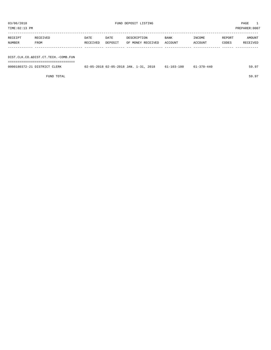TIME:02:13 PM PREPARER:0007 ----------------------------------------------------------------------------------------------------------------------------------- RECEIPT RECEIVED DATE DATE DESCRIPTION BANK INCOME REPORT AMOUNT

| NUMBER | FROM                                | RECEIVED | DEPOSIT                               | OF MONEY RECEIVED ACCOUNT |                  | ACCOUNT          | CODES | RECEIVED |
|--------|-------------------------------------|----------|---------------------------------------|---------------------------|------------------|------------------|-------|----------|
|        |                                     |          |                                       |                           |                  |                  |       |          |
|        | DIST.CLK.CO.&DIST.CT.TECH.-COMB.FUN |          |                                       |                           |                  |                  |       |          |
|        |                                     |          |                                       |                           |                  |                  |       |          |
|        | 0000180372-21 DISTRICT CLERK        |          | 02-05-2018 02-05-2018 JAN. 1-31, 2018 |                           | $61 - 103 - 100$ | $61 - 370 - 440$ |       | 59.97    |
|        |                                     |          |                                       |                           |                  |                  |       |          |

FUND TOTAL 59.97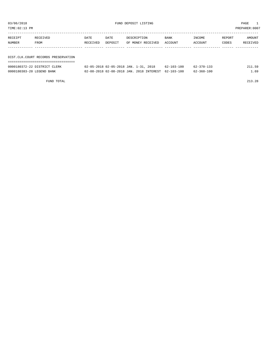| TIME: 02:13 PM            |                                     |          |         |                                          |                  |                  |        | PREPARER:0007 |
|---------------------------|-------------------------------------|----------|---------|------------------------------------------|------------------|------------------|--------|---------------|
| RECEIPT                   | RECEIVED                            | DATE     | DATE    | DESCRIPTION                              | BANK             | INCOME           | REPORT | AMOUNT        |
| NUMBER                    | FROM                                | RECEIVED | DEPOSIT | OF MONEY RECEIVED                        | ACCOUNT          | ACCOUNT          | CODES  | RECEIVED      |
|                           |                                     |          |         |                                          |                  |                  |        |               |
|                           | DIST.CLK.COURT RECORDS PRESERVATION |          |         |                                          |                  |                  |        |               |
|                           | 0000180372-22 DISTRICT CLERK        |          |         | 02-05-2018 02-05-2018 JAN. 1-31, 2018    | $62 - 103 - 100$ | $62 - 370 - 133$ |        | 211.59        |
| 0000180383-20 LEGEND BANK |                                     |          |         | 02-08-2018 02-08-2018 JAN. 2018 INTEREST | $62 - 103 - 100$ | $62 - 360 - 100$ |        | 1.69          |

FUND TOTAL 213.28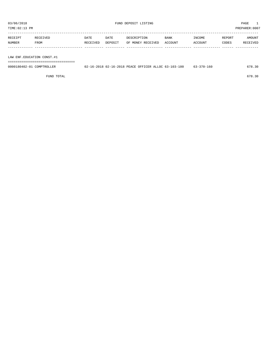| TIME:02:13 PM |          |          |         |                   |             |         |        | PREPARER:0007 |
|---------------|----------|----------|---------|-------------------|-------------|---------|--------|---------------|
| RECEIPT       | RECEIVED | DATE     | DATE    | DESCRIPTION       | <b>BANK</b> | INCOME  | REPORT | AMOUNT        |
| NUMBER        | FROM     | RECEIVED | DEPOSIT | OF MONEY RECEIVED | ACCOUNT     | ACCOUNT | CODES  | RECEIVED      |

LAW ENF.EDUCATION CONST.#1

===================================

| 0000180402-01<br>COMPTROLLER | 02-16-2018 02-16-2018 PEACE OFFICER ALLOC 63-103-100 | $63 - 370 - 160$ | 678.30 |
|------------------------------|------------------------------------------------------|------------------|--------|
|                              |                                                      |                  |        |

FUND TOTAL 678.30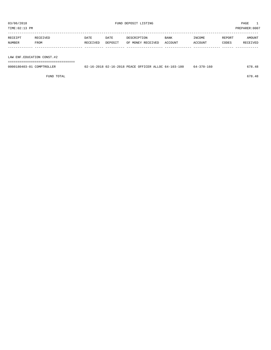| RECEIPT | RECEIVED    | DATE     | DATE    | DESCRIPTION       | <b>BANK</b>    | INCOME  | REPORT | AMOUNT          |
|---------|-------------|----------|---------|-------------------|----------------|---------|--------|-----------------|
| NUMBER  | <b>FROM</b> | RECEIVED | DEPOSIT | OF MONEY RECEIVED | <b>ACCOUNT</b> | ACCOUNT | CODES  | <b>RECEIVED</b> |
|         |             |          |         |                   |                |         |        |                 |

LAW ENF.EDUCATION CONST.#2

===================================

| 0000180403-01<br>COMPTROLLER | 02-16-2018 02-16-2018 PEACE OFFICER ALLOC 64-103-100 | 64-370-160 | 678.48 |
|------------------------------|------------------------------------------------------|------------|--------|
|                              |                                                      |            |        |

FUND TOTAL 678.48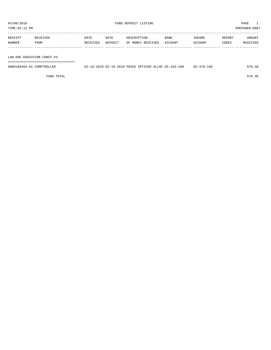| TIME:02:13 PM |             |             |         |                   |             |         |        | PREPARER: 0007 |
|---------------|-------------|-------------|---------|-------------------|-------------|---------|--------|----------------|
| RECEIPT       | RECEIVED    | <b>DATE</b> | DATE    | DESCRIPTION       | <b>BANK</b> | INCOME  | REPORT | <b>AMOUNT</b>  |
| <b>NUMBER</b> | <b>FROM</b> | RECEIVED    | DEPOSIT | OF MONEY RECEIVED | ACCOUNT     | ACCOUNT | CODES  | RECEIVED       |

LAW ENF.EDUCATION CONST.#3

===================================

| 0000180404-01<br>COMPTROLLER | 02-16-2018 02-16-2018 PEACE OFFICER ALLOC 65-103-100 | 65-370-160 | 678.30 |
|------------------------------|------------------------------------------------------|------------|--------|
|                              |                                                      |            |        |

FUND TOTAL 678.30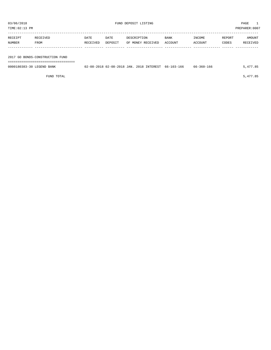| TIME:02:13 PM             |                                                                    |                  |                 |                                                     |                 |                   | PREPARER:0007   |                    |
|---------------------------|--------------------------------------------------------------------|------------------|-----------------|-----------------------------------------------------|-----------------|-------------------|-----------------|--------------------|
| RECEIPT<br>NUMBER         | RECEIVED<br>FROM                                                   | DATE<br>RECEIVED | DATE<br>DEPOSIT | DESCRIPTION<br>OF MONEY RECEIVED                    | BANK<br>ACCOUNT | INCOME<br>ACCOUNT | REPORT<br>CODES | AMOUNT<br>RECEIVED |
|                           | 2017 GO BONDS-CONSTRUCTION FUND<br>=============================== |                  |                 |                                                     |                 |                   |                 |                    |
| 0000180383-30 LEGEND BANK |                                                                    |                  |                 | 02-08-2018 02-08-2018 JAN. 2018 INTEREST 66-103-166 |                 | 66-360-166        |                 | 5,477.85           |

FUND TOTAL  $5,477.85$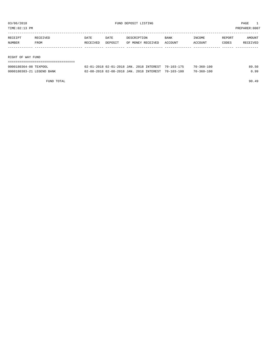TIME:02:13 PM PREPARER:0007

| RECEIPT | RECEIVED          | DATE     | DATE    | DESCRIPTION       | <b>BANK</b> | INCOME  | REPORT | AMOUNT   |
|---------|-------------------|----------|---------|-------------------|-------------|---------|--------|----------|
| NUMBER  | FROM              | RECEIVED | DEPOSIT | OF MONEY RECEIVED | ACCOUNT     | ACCOUNT | CODES  | RECEIVED |
|         |                   |          |         |                   |             |         |        |          |
|         |                   |          |         |                   |             |         |        |          |
|         | RIGHT OF WAY FUND |          |         |                   |             |         |        |          |
|         |                   |          |         |                   |             |         |        |          |

| 0000180364-08 TEXPOOL     | 02-01-2018 02-01-2018 JAN, 2018 INTEREST 70-103-175 |  | $70 - 360 - 100$ | 89.50 |
|---------------------------|-----------------------------------------------------|--|------------------|-------|
| 0000180383-21 LEGEND BANK | 02-08-2018 02-08-2018 JAN. 2018 INTEREST 70-103-100 |  | $70 - 360 - 100$ | 0.99  |

FUND TOTAL 90.49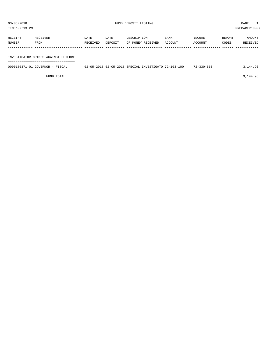03/06/2018 PAGE 1<br>
FUND DEPOSIT LISTING<br>
TIME:02:13 PM

PREPARER:0007

| TIME:02:13 PM |  |
|---------------|--|
|               |  |

| RECEIPT | RECEIVED | DATE     | DATE    | DESCRIPTION       | <b>BANK</b> | INCOME  | REPORT | AMOUNT   |
|---------|----------|----------|---------|-------------------|-------------|---------|--------|----------|
| NUMBER  | FROM     | RECEIVED | DEPOSIT | OF MONEY RECEIVED | ACCOUNT     | ACCOUNT | CODES  | RECEIVED |
|         |          |          |         |                   |             |         |        |          |

# INVESTIGATOR CRIMES AGAINST CHILDRE

===================================

| 0000180371-01 GOVERNOR - FISCAL | 02-05-2018 02-05-2018 SPECIAL INVESTIGATO 72-103-100 |  | $72 - 330 - 560$ | 3,144.96 |
|---------------------------------|------------------------------------------------------|--|------------------|----------|
|                                 |                                                      |  |                  |          |

FUND TOTAL  $3,144.96$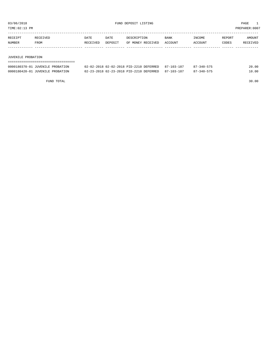TIME:02:13 PM PREPARER:0007

| RECEIPT | RECEIVED | DATE     | DATE    | DESCRIPTION       | <b>BANK</b> | INCOME  | REPORT | AMOUNT          |
|---------|----------|----------|---------|-------------------|-------------|---------|--------|-----------------|
| NUMBER  | FROM     | RECEIVED | DEPOSIT | OF MONEY RECEIVED | ACCOUNT     | ACCOUNT | CODES  | <b>RECEIVED</b> |
|         |          |          |         |                   |             |         |        |                 |

#### JUVENILE PROBATION

| ------------------------         |                                                    |  |            |       |  |  |
|----------------------------------|----------------------------------------------------|--|------------|-------|--|--|
| 0000180370-01 JUVENILE PROBATION | 02-02-2018 02-02-2018 PID-2210 DEFERRED 87-103-187 |  | 87-340-575 | 20.00 |  |  |
| 0000180420-01 JUVENILE PROBATION | 02-23-2018 02-23-2018 PID-2210 DEFERRED 87-103-187 |  | 87-340-575 | 10.00 |  |  |

FUND TOTAL 30.00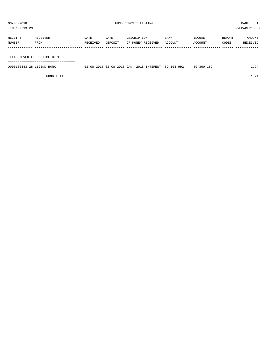| PREPARER: 0007<br>TIME:02:13 PM |                              |          |         |                   |         |         |        |          |
|---------------------------------|------------------------------|----------|---------|-------------------|---------|---------|--------|----------|
| RECEIPT                         | RECEIVED                     | DATE     | DATE    | DESCRIPTION       | BANK    | INCOME  | REPORT | AMOUNT   |
| NUMBER                          | FROM                         | RECEIVED | DEPOSIT | OF MONEY RECEIVED | ACCOUNT | ACCOUNT | CODES  | RECEIVED |
|                                 |                              |          |         |                   |         |         |        |          |
|                                 | TEXAS JUVENILE JUSTICE DEPT. |          |         |                   |         |         |        |          |

===================================

| 0000180383-28 LEGEND BANK | 02-08-2018 02-08-2018 JAN. 2018 INTEREST 89-103-992 |  | $89 - 360 - 189$ | 94 |
|---------------------------|-----------------------------------------------------|--|------------------|----|
|                           |                                                     |  |                  |    |

FUND TOTAL  $1.94$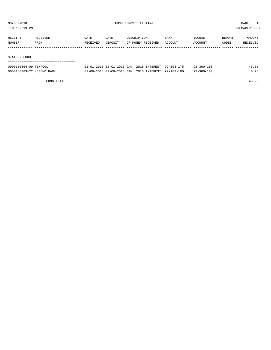TIME:02:13 PM PREPARER:0007

| RECEIVED | DATE     | DATE    | DESCRIPTION | BANK              | INCOME  | REPORT | AMOUNT   |
|----------|----------|---------|-------------|-------------------|---------|--------|----------|
| FROM     | RECEIVED | DEPOSIT |             |                   | ACCOUNT | CODES  | RECEIVED |
|          |          |         |             |                   |         |        |          |
|          |          |         |             |                   |         |        |          |
|          |          |         |             | OF MONEY RECEIVED | ACCOUNT |        |          |

#### STATZER FUND

| 0000180364-09 TEXPOOL     | 02-01-2018 02-01-2018 JAN. 2018 INTEREST 92-103-175 |  | $92 - 360 - 100$ | 43.68 |
|---------------------------|-----------------------------------------------------|--|------------------|-------|
| 0000180383-22 LEGEND BANK | 02-08-2018 02-08-2018 JAN. 2018 INTEREST 92-103-100 |  | $92 - 360 - 100$ | 0.25  |

FUND TOTAL 43.93